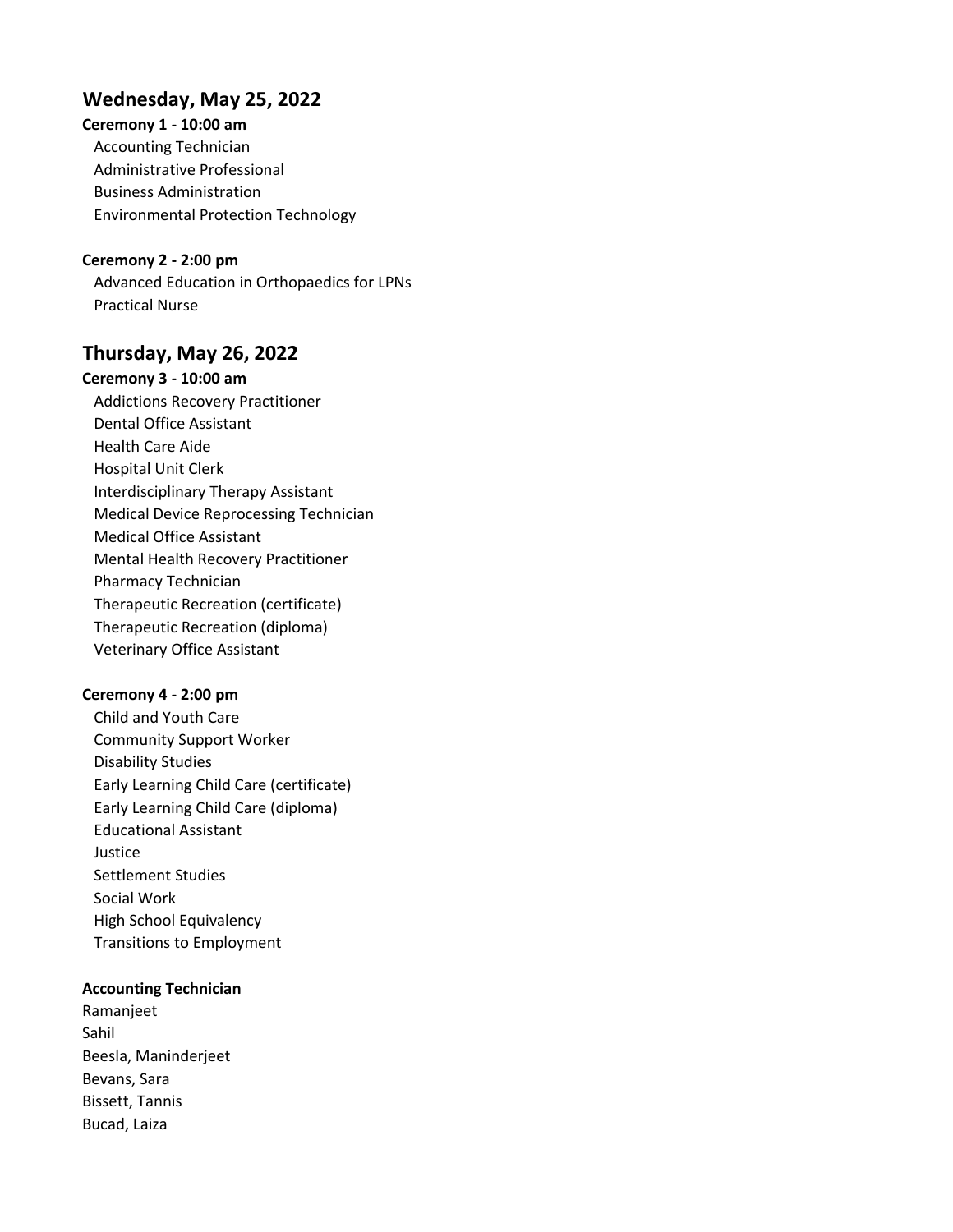# Wednesday, May 25, 2022

Ceremony 1 - 10:00 am Accounting Technician Administrative Professional Business Administration Environmental Protection Technology

Ceremony 2 - 2:00 pm Advanced Education in Orthopaedics for LPNs Practical Nurse

# Thursday, May 26, 2022

Ceremony 3 - 10:00 am Addictions Recovery Practitioner Dental Office Assistant Health Care Aide Hospital Unit Clerk Interdisciplinary Therapy Assistant Medical Device Reprocessing Technician Medical Office Assistant Mental Health Recovery Practitioner Pharmacy Technician Therapeutic Recreation (certificate) Therapeutic Recreation (diploma) Veterinary Office Assistant

### Ceremony 4 - 2:00 pm

Child and Youth Care Community Support Worker Disability Studies Early Learning Child Care (certificate) Early Learning Child Care (diploma) Educational Assistant Justice Settlement Studies Social Work High School Equivalency Transitions to Employment

## Accounting Technician

Ramanjeet Sahil Beesla, Maninderjeet Bevans, Sara Bissett, Tannis Bucad, Laiza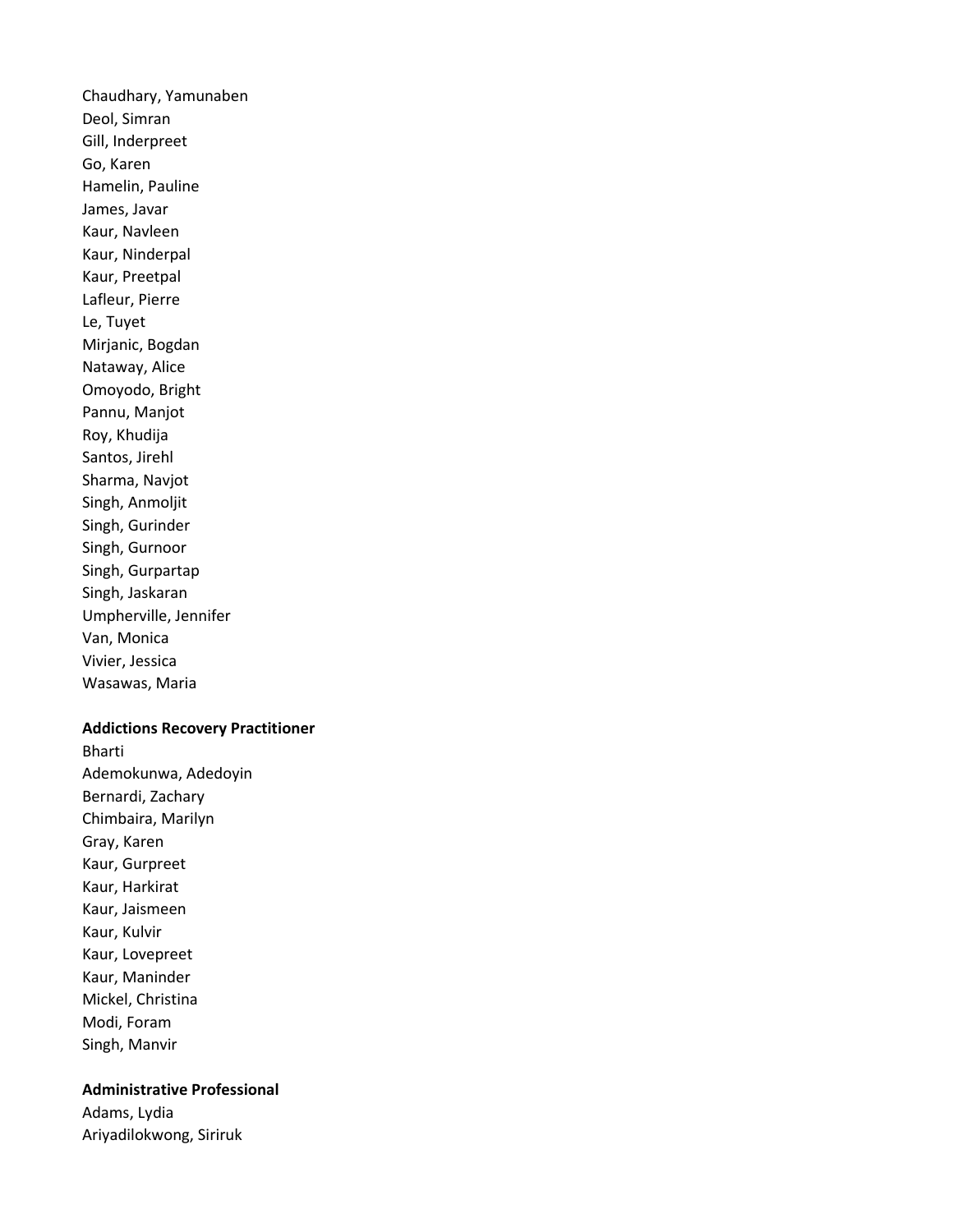Chaudhary, Yamunaben Deol, Simran Gill, Inderpreet Go, Karen Hamelin, Pauline James, Javar Kaur, Navleen Kaur, Ninderpal Kaur, Preetpal Lafleur, Pierre Le, Tuyet Mirjanic, Bogdan Nataway, Alice Omoyodo, Bright Pannu, Manjot Roy, Khudija Santos, Jirehl Sharma, Navjot Singh, Anmoljit Singh, Gurinder Singh, Gurnoor Singh, Gurpartap Singh, Jaskaran Umpherville, Jennifer Van, Monica Vivier, Jessica Wasawas, Maria

### Addictions Recovery Practitioner

Bharti Ademokunwa, Adedoyin Bernardi, Zachary Chimbaira, Marilyn Gray, Karen Kaur, Gurpreet Kaur, Harkirat Kaur, Jaismeen Kaur, Kulvir Kaur, Lovepreet Kaur, Maninder Mickel, Christina Modi, Foram Singh, Manvir

# Administrative Professional

Adams, Lydia Ariyadilokwong, Siriruk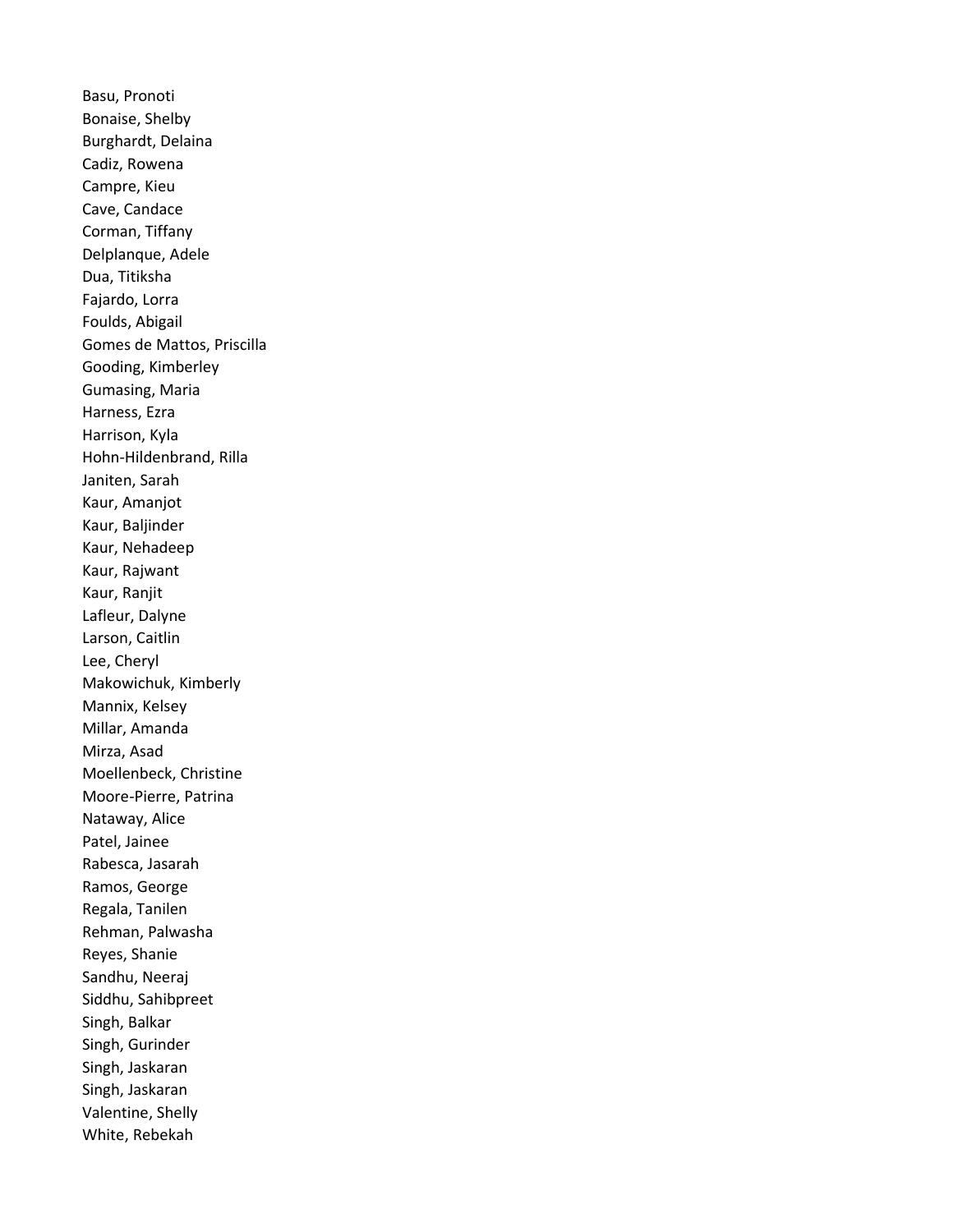Basu, Pronoti Bonaise, Shelby Burghardt, Delaina Cadiz, Rowena Campre, Kieu Cave, Candace Corman, Tiffany Delplanque, Adele Dua, Titiksha Fajardo, Lorra Foulds, Abigail Gomes de Mattos, Priscilla Gooding, Kimberley Gumasing, Maria Harness, Ezra Harrison, Kyla Hohn-Hildenbrand, Rilla Janiten, Sarah Kaur, Amanjot Kaur, Baljinder Kaur, Nehadeep Kaur, Rajwant Kaur, Ranjit Lafleur, Dalyne Larson, Caitlin Lee, Cheryl Makowichuk, Kimberly Mannix, Kelsey Millar, Amanda Mirza, Asad Moellenbeck, Christine Moore-Pierre, Patrina Nataway, Alice Patel, Jainee Rabesca, Jasarah Ramos, George Regala, Tanilen Rehman, Palwasha Reyes, Shanie Sandhu, Neeraj Siddhu, Sahibpreet Singh, Balkar Singh, Gurinder Singh, Jaskaran Singh, Jaskaran Valentine, Shelly White, Rebekah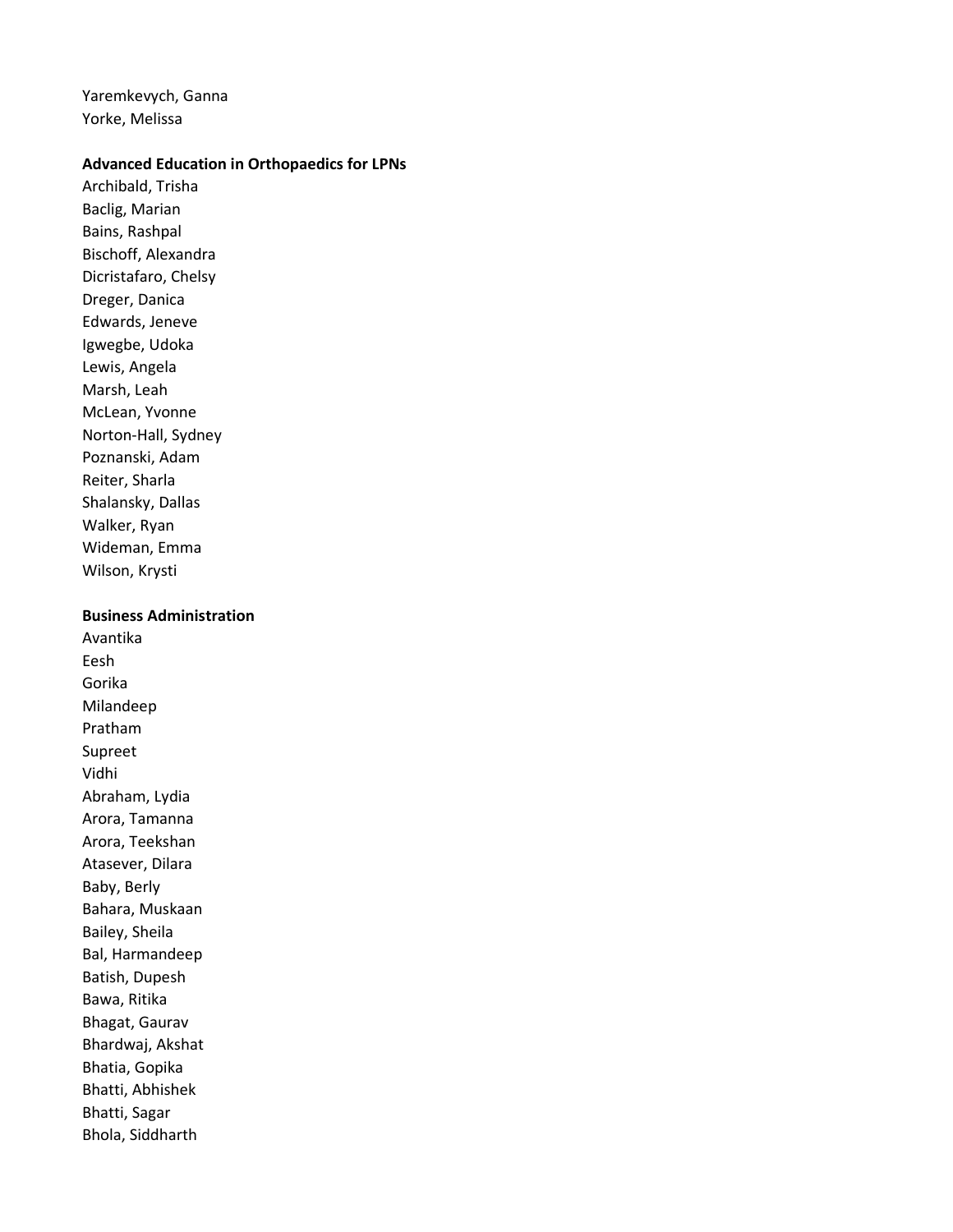Yaremkevych, Ganna Yorke, Melissa

### Advanced Education in Orthopaedics for LPNs

Archibald, Trisha Baclig, Marian Bains, Rashpal Bischoff, Alexandra Dicristafaro, Chelsy Dreger, Danica Edwards, Jeneve Igwegbe, Udoka Lewis, Angela Marsh, Leah McLean, Yvonne Norton-Hall, Sydney Poznanski, Adam Reiter, Sharla Shalansky, Dallas Walker, Ryan Wideman, Emma Wilson, Krysti

### Business Administration

Avantika Eesh Gorika Milandeep Pratham Supreet Vidhi Abraham, Lydia Arora, Tamanna Arora, Teekshan Atasever, Dilara Baby, Berly Bahara, Muskaan Bailey, Sheila Bal, Harmandeep Batish, Dupesh Bawa, Ritika Bhagat, Gaurav Bhardwaj, Akshat Bhatia, Gopika Bhatti, Abhishek Bhatti, Sagar Bhola, Siddharth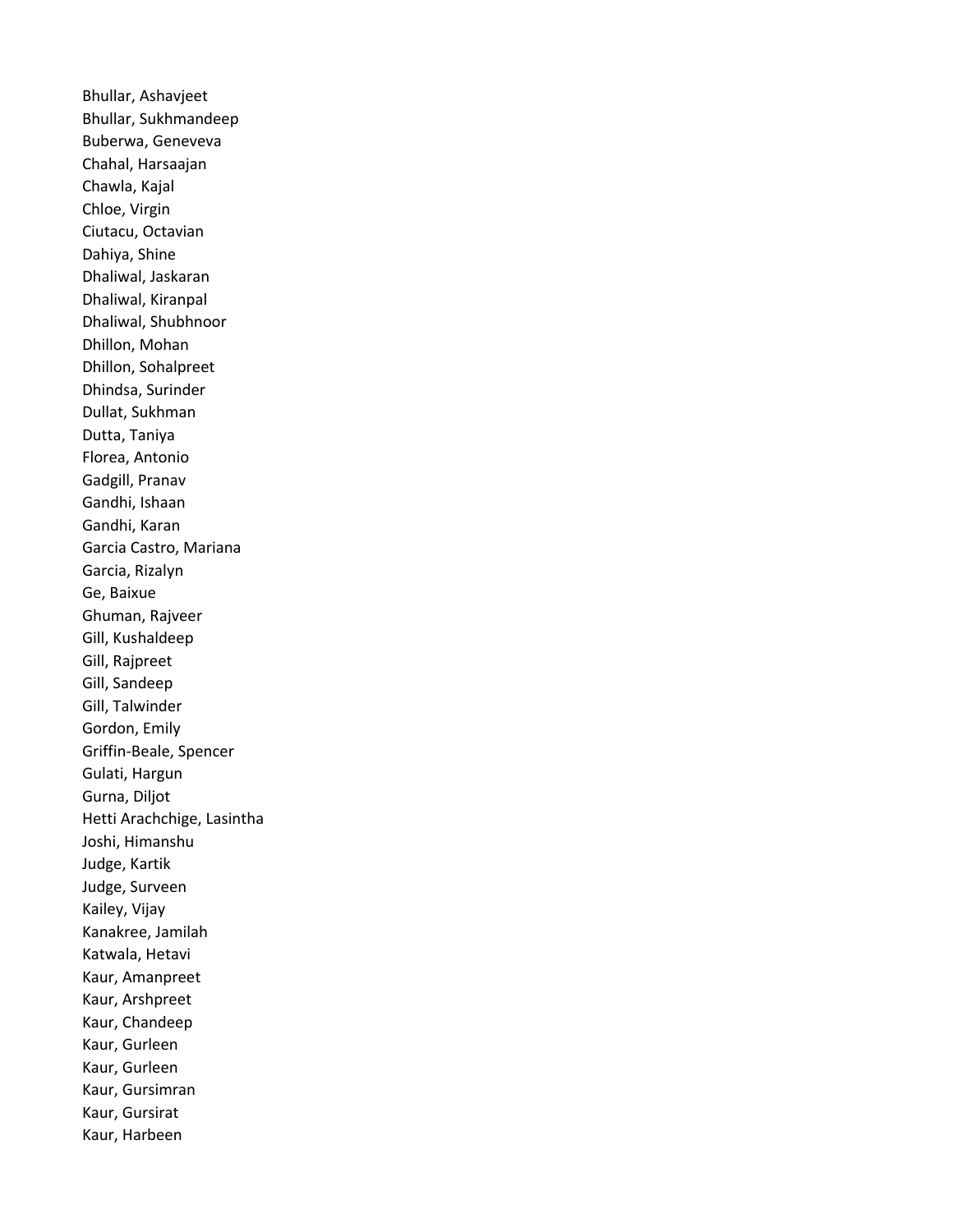Bhullar, Ashavjeet Bhullar, Sukhmandeep Buberwa, Geneveva Chahal, Harsaajan Chawla, Kajal Chloe, Virgin Ciutacu, Octavian Dahiya, Shine Dhaliwal, Jaskaran Dhaliwal, Kiranpal Dhaliwal, Shubhnoor Dhillon, Mohan Dhillon, Sohalpreet Dhindsa, Surinder Dullat, Sukhman Dutta, Taniya Florea, Antonio Gadgill, Pranav Gandhi, Ishaan Gandhi, Karan Garcia Castro, Mariana Garcia, Rizalyn Ge, Baixue Ghuman, Rajveer Gill, Kushaldeep Gill, Rajpreet Gill, Sandeep Gill, Talwinder Gordon, Emily Griffin-Beale, Spencer Gulati, Hargun Gurna, Diljot Hetti Arachchige, Lasintha Joshi, Himanshu Judge, Kartik Judge, Surveen Kailey, Vijay Kanakree, Jamilah Katwala, Hetavi Kaur, Amanpreet Kaur, Arshpreet Kaur, Chandeep Kaur, Gurleen Kaur, Gurleen Kaur, Gursimran Kaur, Gursirat Kaur, Harbeen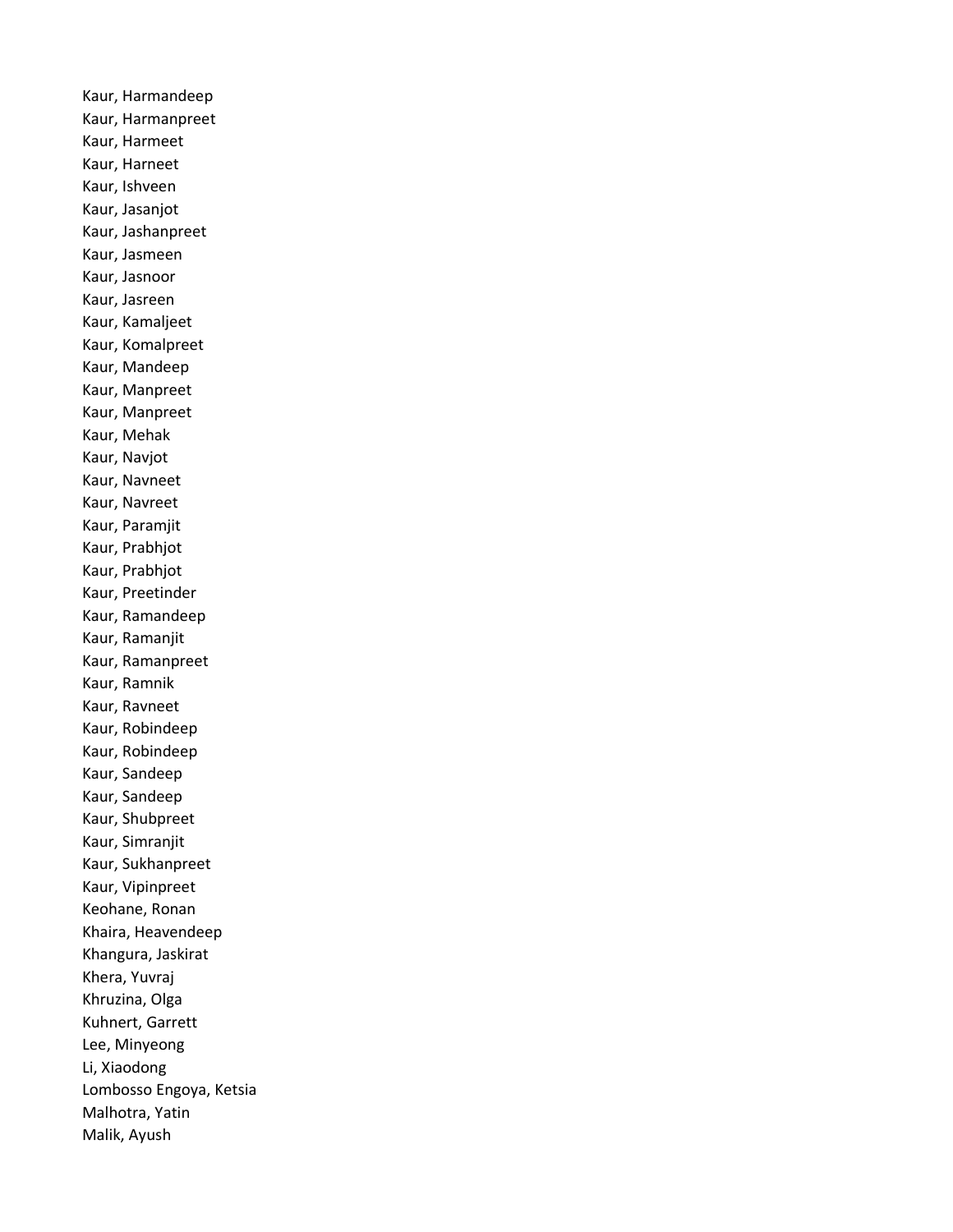Kaur, Harmandeep Kaur, Harmanpreet Kaur, Harmeet Kaur, Harneet Kaur, Ishveen Kaur, Jasanjot Kaur, Jashanpreet Kaur, Jasmeen Kaur, Jasnoor Kaur, Jasreen Kaur, Kamaljeet Kaur, Komalpreet Kaur, Mandeep Kaur, Manpreet Kaur, Manpreet Kaur, Mehak Kaur, Navjot Kaur, Navneet Kaur, Navreet Kaur, Paramjit Kaur, Prabhjot Kaur, Prabhjot Kaur, Preetinder Kaur, Ramandeep Kaur, Ramanjit Kaur, Ramanpreet Kaur, Ramnik Kaur, Ravneet Kaur, Robindeep Kaur, Robindeep Kaur, Sandeep Kaur, Sandeep Kaur, Shubpreet Kaur, Simranjit Kaur, Sukhanpreet Kaur, Vipinpreet Keohane, Ronan Khaira, Heavendeep Khangura, Jaskirat Khera, Yuvraj Khruzina, Olga Kuhnert, Garrett Lee, Minyeong Li, Xiaodong Lombosso Engoya, Ketsia Malhotra, Yatin Malik, Ayush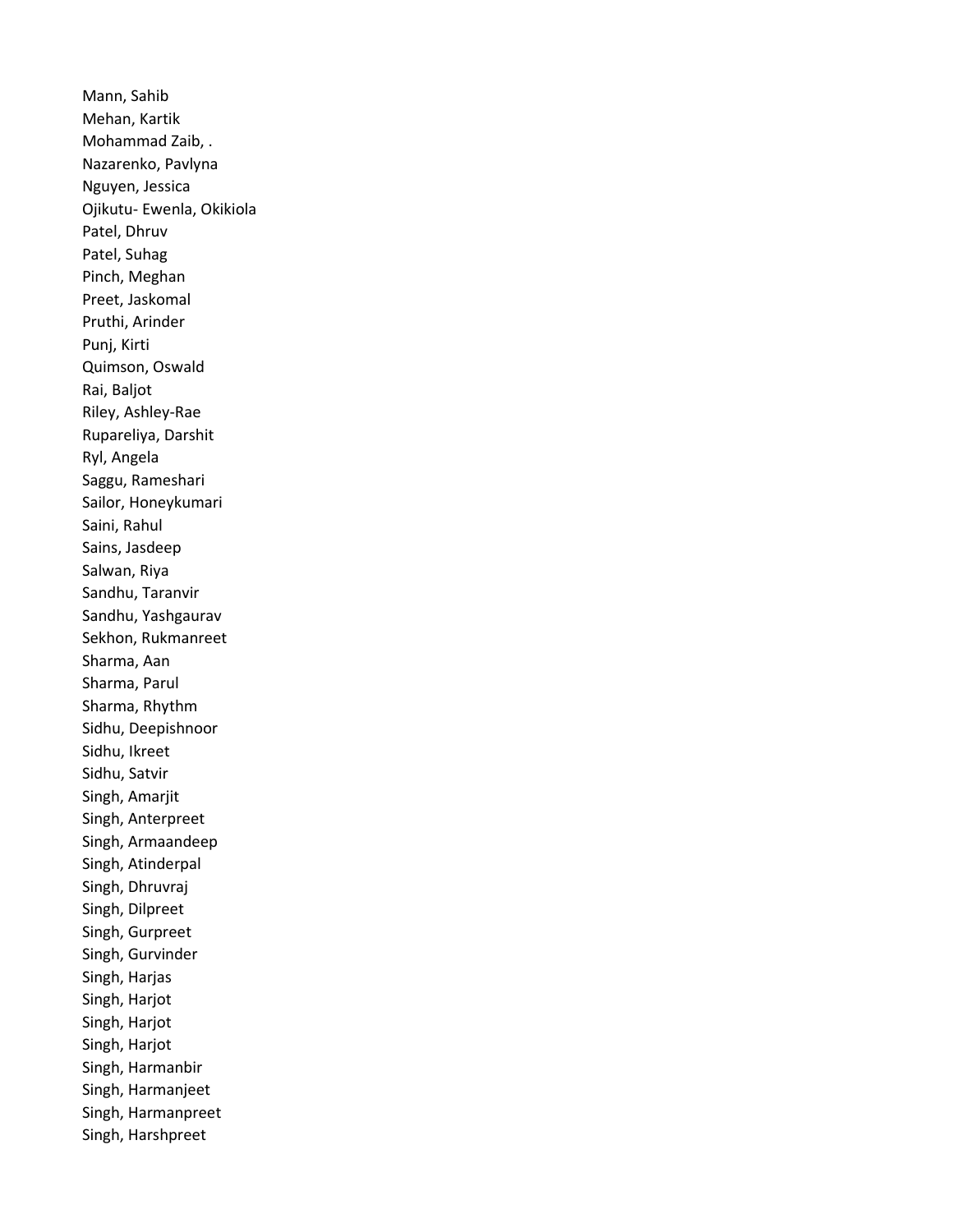Mann, Sahib Mehan, Kartik Mohammad Zaib, . Nazarenko, Pavlyna Nguyen, Jessica Ojikutu- Ewenla, Okikiola Patel, Dhruv Patel, Suhag Pinch, Meghan Preet, Jaskomal Pruthi, Arinder Punj, Kirti Quimson, Oswald Rai, Baljot Riley, Ashley-Rae Rupareliya, Darshit Ryl, Angela Saggu, Rameshari Sailor, Honeykumari Saini, Rahul Sains, Jasdeep Salwan, Riya Sandhu, Taranvir Sandhu, Yashgaurav Sekhon, Rukmanreet Sharma, Aan Sharma, Parul Sharma, Rhythm Sidhu, Deepishnoor Sidhu, Ikreet Sidhu, Satvir Singh, Amarjit Singh, Anterpreet Singh, Armaandeep Singh, Atinderpal Singh, Dhruvraj Singh, Dilpreet Singh, Gurpreet Singh, Gurvinder Singh, Harjas Singh, Harjot Singh, Harjot Singh, Harjot Singh, Harmanbir Singh, Harmanjeet Singh, Harmanpreet Singh, Harshpreet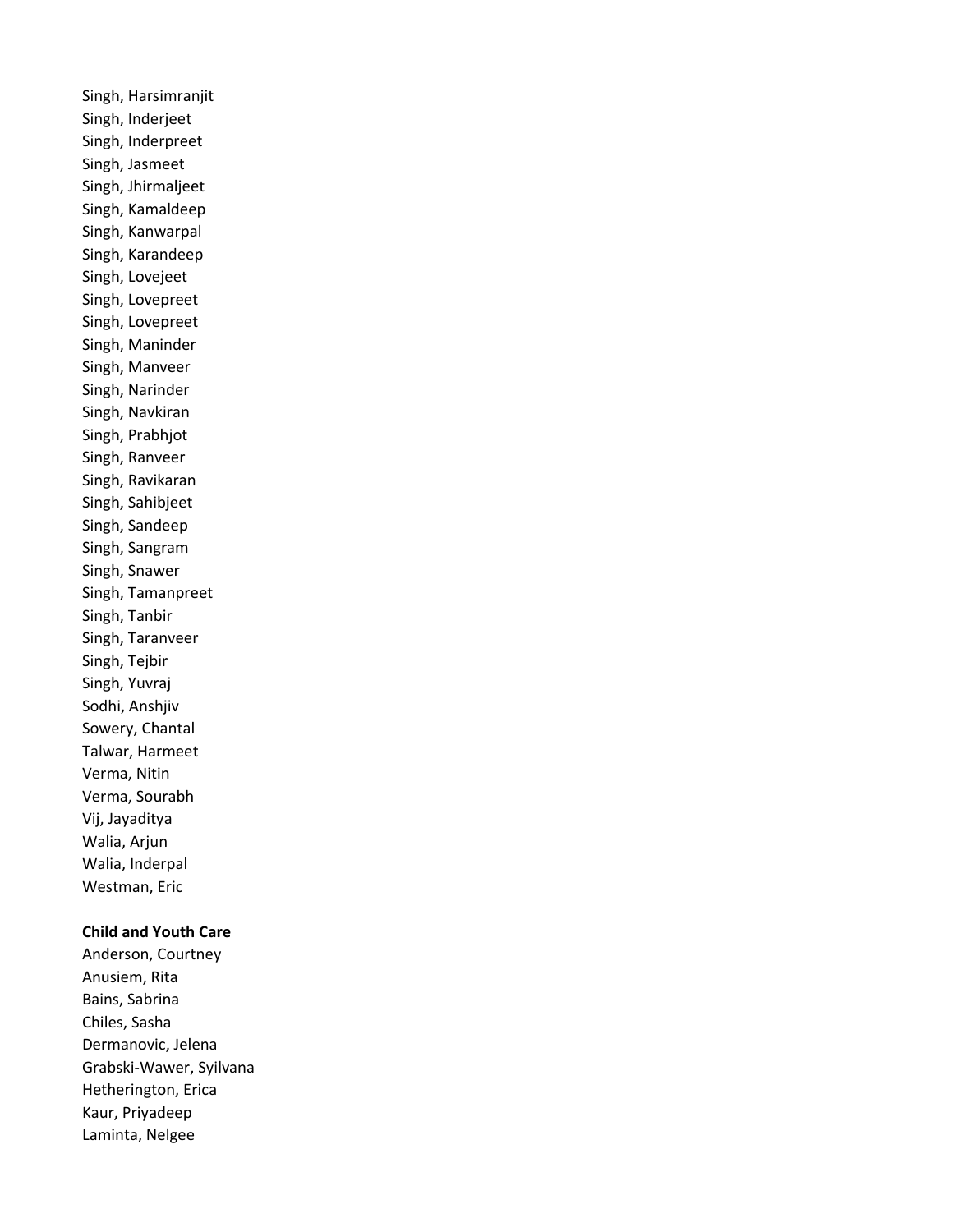Singh, Harsimranjit Singh, Inderjeet Singh, Inderpreet Singh, Jasmeet Singh, Jhirmaljeet Singh, Kamaldeep Singh, Kanwarpal Singh, Karandeep Singh, Lovejeet Singh, Lovepreet Singh, Lovepreet Singh, Maninder Singh, Manveer Singh, Narinder Singh, Navkiran Singh, Prabhjot Singh, Ranveer Singh, Ravikaran Singh, Sahibjeet Singh, Sandeep Singh, Sangram Singh, Snawer Singh, Tamanpreet Singh, Tanbir Singh, Taranveer Singh, Tejbir Singh, Yuvraj Sodhi, Anshjiv Sowery, Chantal Talwar, Harmeet Verma, Nitin Verma, Sourabh Vij, Jayaditya Walia, Arjun Walia, Inderpal Westman, Eric

## Child and Youth Care

Anderson, Courtney Anusiem, Rita Bains, Sabrina Chiles, Sasha Dermanovic, Jelena Grabski-Wawer, Syilvana Hetherington, Erica Kaur, Priyadeep Laminta, Nelgee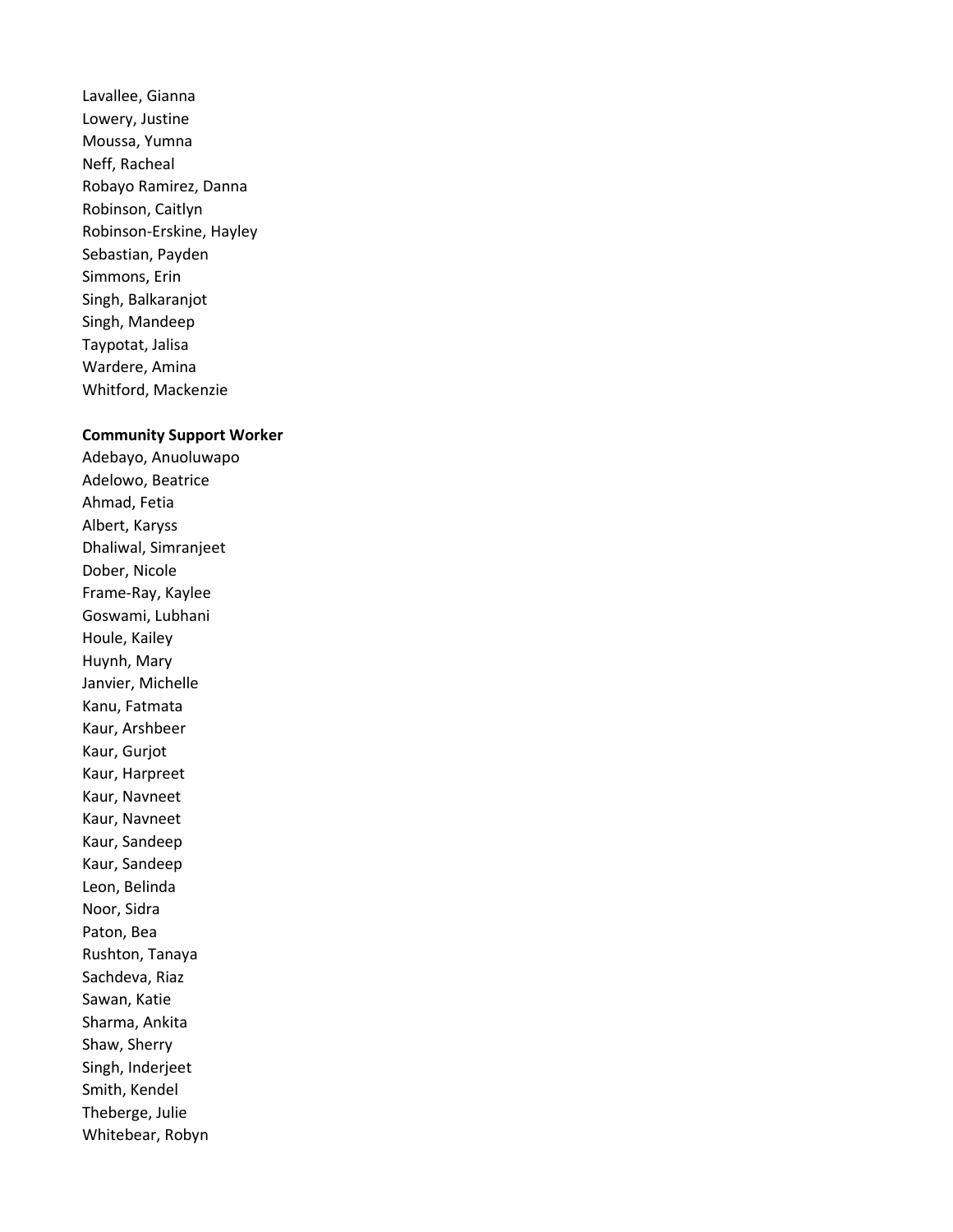Lavallee, Gianna Lowery, Justine Moussa, Yumna Neff, Racheal Robayo Ramirez, Danna Robinson, Caitlyn Robinson-Erskine, Hayley Sebastian, Payden Simmons, Erin Singh, Balkaranjot Singh, Mandeep Taypotat, Jalisa Wardere, Amina Whitford, Mackenzie

## Community Support Worker

Adebayo, Anuoluwapo Adelowo, Beatrice Ahmad, Fetia Albert, Karyss Dhaliwal, Simranjeet Dober, Nicole Frame-Ray, Kaylee Goswami, Lubhani Houle, Kailey Huynh, Mary Janvier, Michelle Kanu, Fatmata Kaur, Arshbeer Kaur, Gurjot Kaur, Harpreet Kaur, Navneet Kaur, Navneet Kaur, Sandeep Kaur, Sandeep Leon, Belinda Noor, Sidra Paton, Bea Rushton, Tanaya Sachdeva, Riaz Sawan, Katie Sharma, Ankita Shaw, Sherry Singh, Inderjeet Smith, Kendel Theberge, Julie Whitebear, Robyn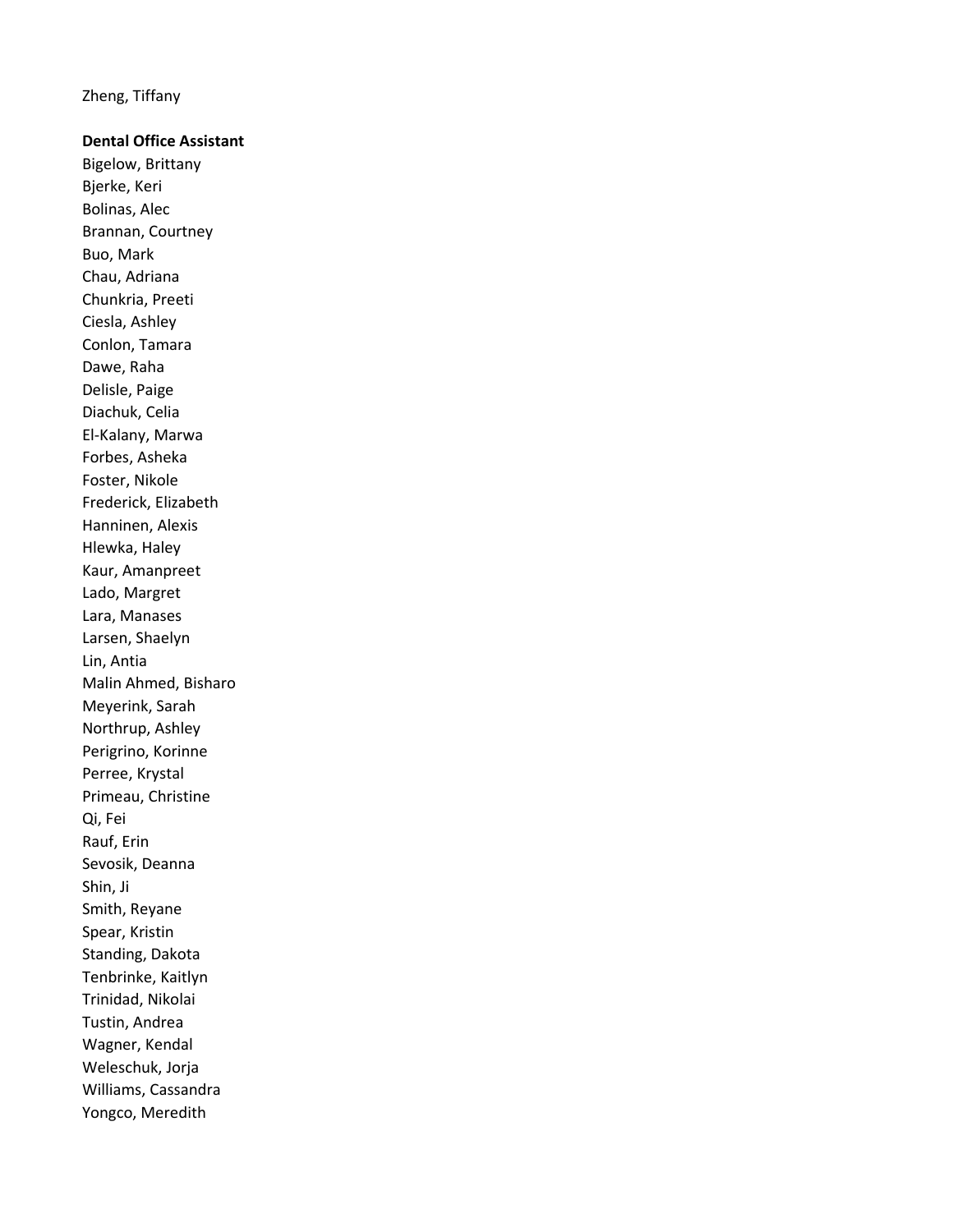Zheng, Tiffany

## Dental Office Assistant

Bigelow, Brittany Bjerke, Keri Bolinas, Alec Brannan, Courtney Buo, Mark Chau, Adriana Chunkria, Preeti Ciesla, Ashley Conlon, Tamara Dawe, Raha Delisle, Paige Diachuk, Celia El-Kalany, Marwa Forbes, Asheka Foster, Nikole Frederick, Elizabeth Hanninen, Alexis Hlewka, Haley Kaur, Amanpreet Lado, Margret Lara, Manases Larsen, Shaelyn Lin, Antia Malin Ahmed, Bisharo Meyerink, Sarah Northrup, Ashley Perigrino, Korinne Perree, Krystal Primeau, Christine Qi, Fei Rauf, Erin Sevosik, Deanna Shin, Ji Smith, Reyane Spear, Kristin Standing, Dakota Tenbrinke, Kaitlyn Trinidad, Nikolai Tustin, Andrea Wagner, Kendal Weleschuk, Jorja Williams, Cassandra Yongco, Meredith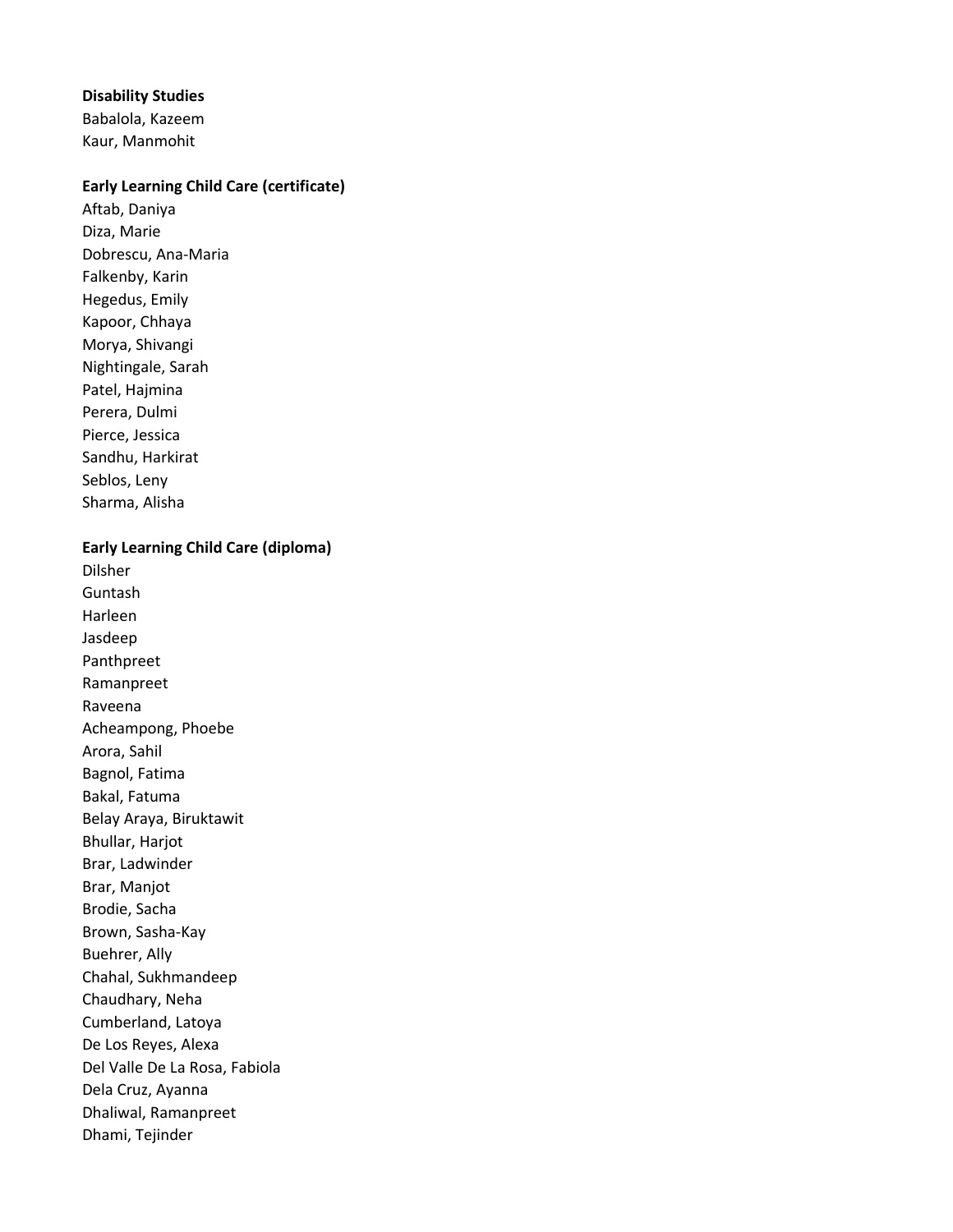## Disability Studies

Babalola, Kazeem Kaur, Manmohit

## Early Learning Child Care (certificate)

Aftab, Daniya Diza, Marie Dobrescu, Ana-Maria Falkenby, Karin Hegedus, Emily Kapoor, Chhaya Morya, Shivangi Nightingale, Sarah Patel, Hajmina Perera, Dulmi Pierce, Jessica Sandhu, Harkirat Seblos, Leny Sharma, Alisha

Early Learning Child Care (diploma)

Dilsher Guntash Harleen Jasdeep Panthpreet Ramanpreet Raveena Acheampong, Phoebe Arora, Sahil Bagnol, Fatima Bakal, Fatuma Belay Araya, Biruktawit Bhullar, Harjot Brar, Ladwinder Brar, Manjot Brodie, Sacha Brown, Sasha-Kay Buehrer, Ally Chahal, Sukhmandeep Chaudhary, Neha Cumberland, Latoya De Los Reyes, Alexa Del Valle De La Rosa, Fabiola Dela Cruz, Ayanna Dhaliwal, Ramanpreet Dhami, Tejinder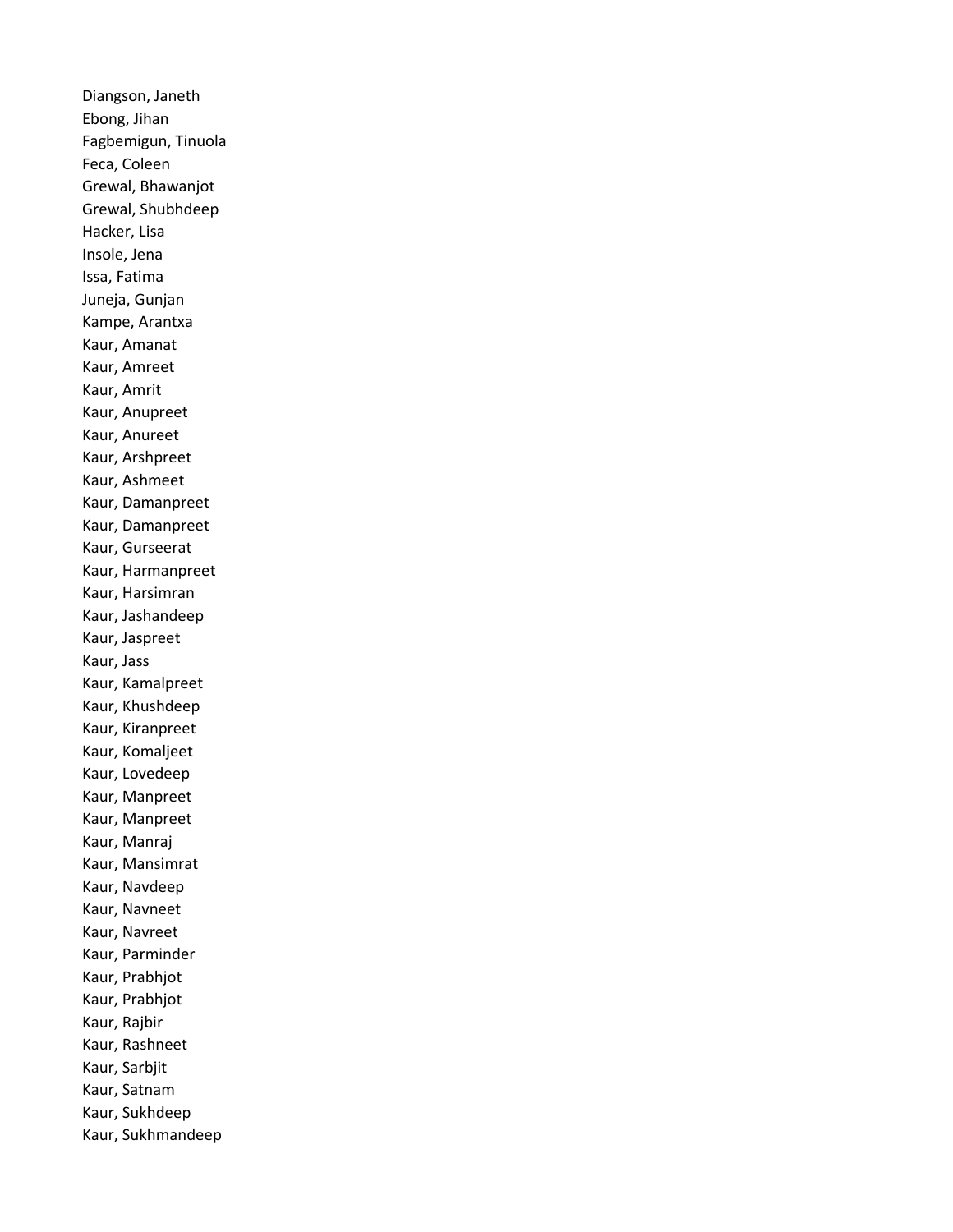Diangson, Janeth Ebong, Jihan Fagbemigun, Tinuola Feca, Coleen Grewal, Bhawanjot Grewal, Shubhdeep Hacker, Lisa Insole, Jena Issa, Fatima Juneja, Gunjan Kampe, Arantxa Kaur, Amanat Kaur, Amreet Kaur, Amrit Kaur, Anupreet Kaur, Anureet Kaur, Arshpreet Kaur, Ashmeet Kaur, Damanpreet Kaur, Damanpreet Kaur, Gurseerat Kaur, Harmanpreet Kaur, Harsimran Kaur, Jashandeep Kaur, Jaspreet Kaur, Jass Kaur, Kamalpreet Kaur, Khushdeep Kaur, Kiranpreet Kaur, Komaljeet Kaur, Lovedeep Kaur, Manpreet Kaur, Manpreet Kaur, Manraj Kaur, Mansimrat Kaur, Navdeep Kaur, Navneet Kaur, Navreet Kaur, Parminder Kaur, Prabhjot Kaur, Prabhjot Kaur, Rajbir Kaur, Rashneet Kaur, Sarbjit Kaur, Satnam Kaur, Sukhdeep Kaur, Sukhmandeep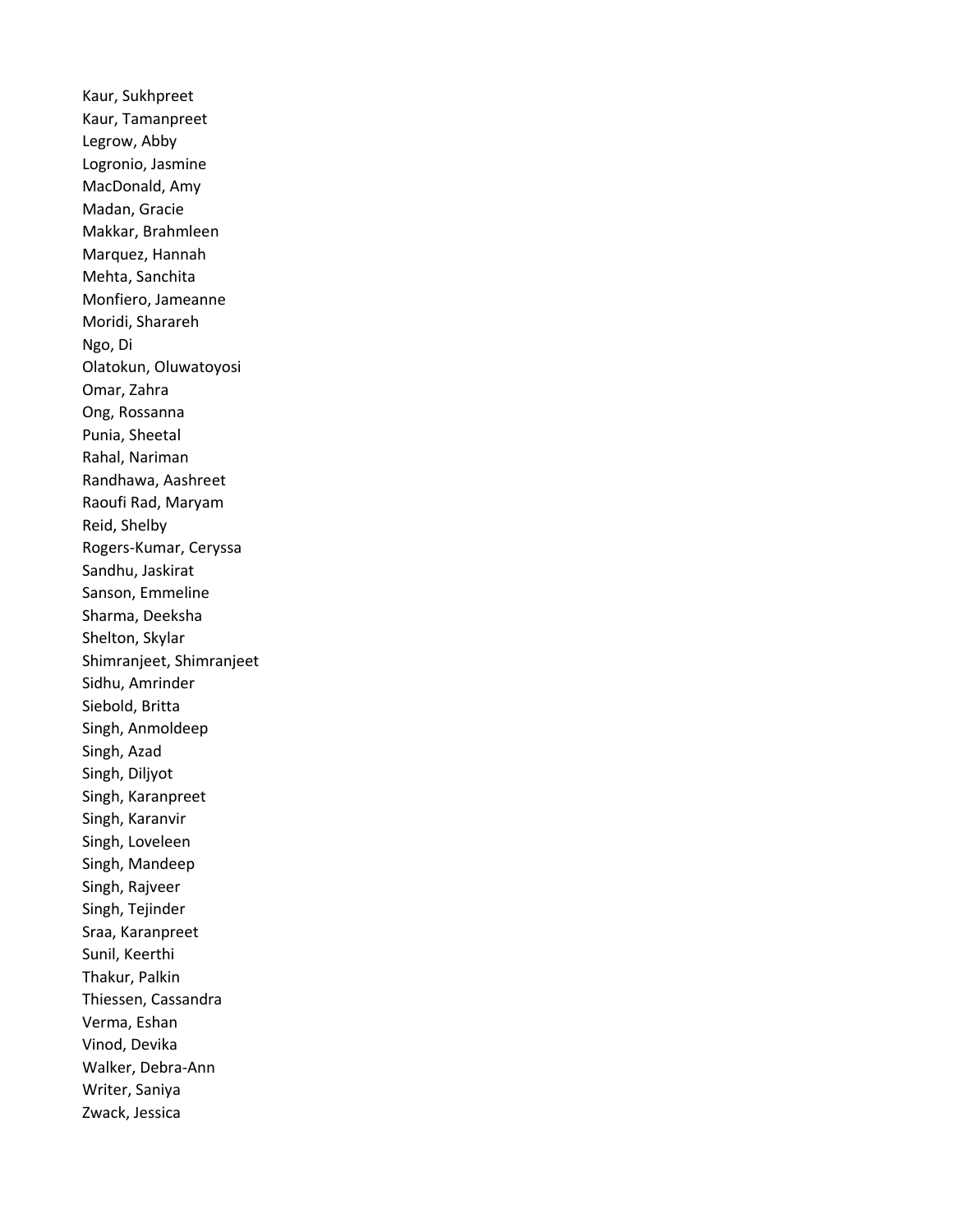Kaur, Sukhpreet Kaur, Tamanpreet Legrow, Abby Logronio, Jasmine MacDonald, Amy Madan, Gracie Makkar, Brahmleen Marquez, Hannah Mehta, Sanchita Monfiero, Jameanne Moridi, Sharareh Ngo, Di Olatokun, Oluwatoyosi Omar, Zahra Ong, Rossanna Punia, Sheetal Rahal, Nariman Randhawa, Aashreet Raoufi Rad, Maryam Reid, Shelby Rogers-Kumar, Ceryssa Sandhu, Jaskirat Sanson, Emmeline Sharma, Deeksha Shelton, Skylar Shimranjeet, Shimranjeet Sidhu, Amrinder Siebold, Britta Singh, Anmoldeep Singh, Azad Singh, Diljyot Singh, Karanpreet Singh, Karanvir Singh, Loveleen Singh, Mandeep Singh, Rajveer Singh, Tejinder Sraa, Karanpreet Sunil, Keerthi Thakur, Palkin Thiessen, Cassandra Verma, Eshan Vinod, Devika Walker, Debra-Ann Writer, Saniya Zwack, Jessica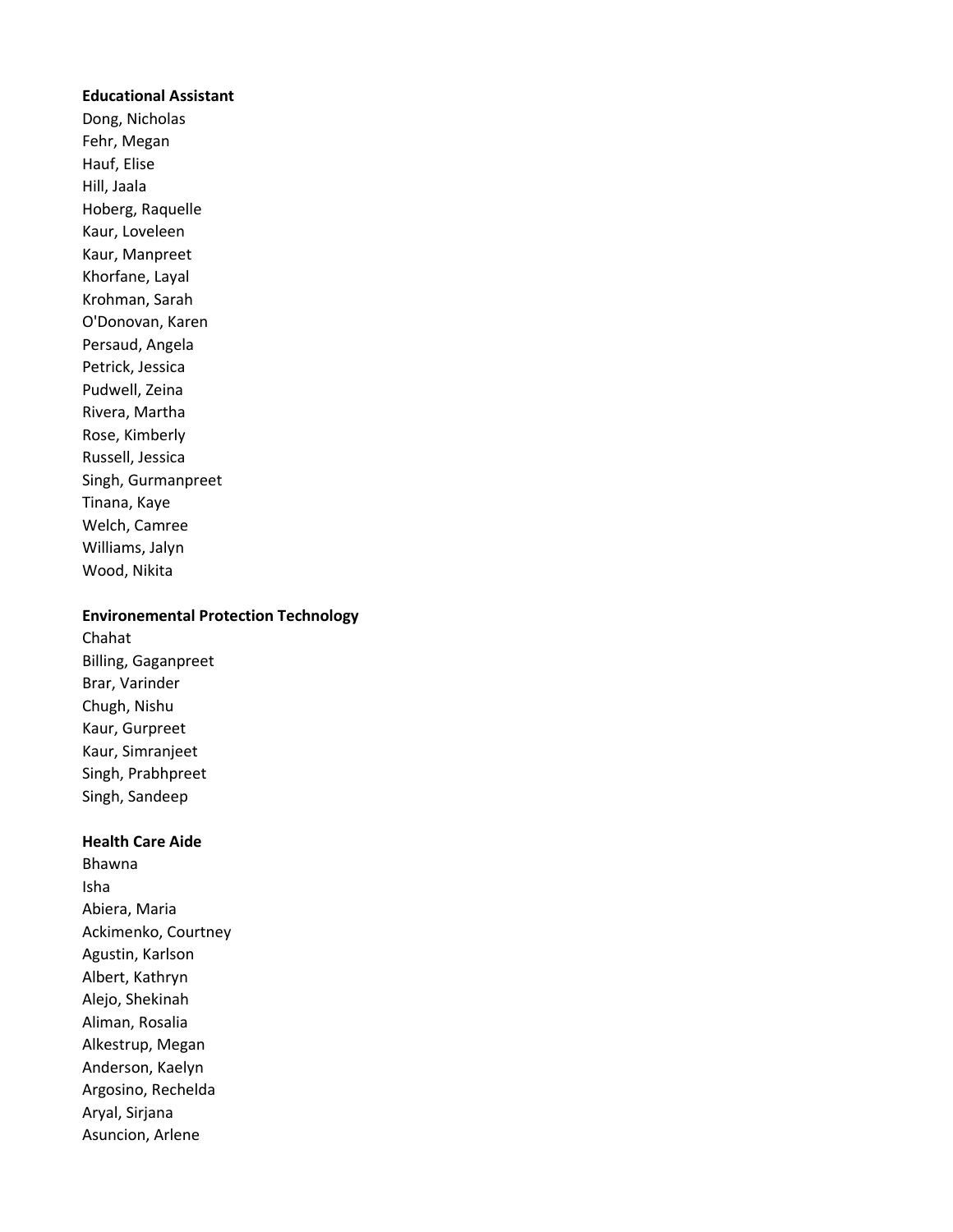## Educational Assistant

Dong, Nicholas Fehr, Megan Hauf, Elise Hill, Jaala Hoberg, Raquelle Kaur, Loveleen Kaur, Manpreet Khorfane, Layal Krohman, Sarah O'Donovan, Karen Persaud, Angela Petrick, Jessica Pudwell, Zeina Rivera, Martha Rose, Kimberly Russell, Jessica Singh, Gurmanpreet Tinana, Kaye Welch, Camree Williams, Jalyn Wood, Nikita

## Environemental Protection Technology

Chahat Billing, Gaganpreet Brar, Varinder Chugh, Nishu Kaur, Gurpreet Kaur, Simranjeet Singh, Prabhpreet Singh, Sandeep

### Health Care Aide

Bhawna Isha Abiera, Maria Ackimenko, Courtney Agustin, Karlson Albert, Kathryn Alejo, Shekinah Aliman, Rosalia Alkestrup, Megan Anderson, Kaelyn Argosino, Rechelda Aryal, Sirjana Asuncion, Arlene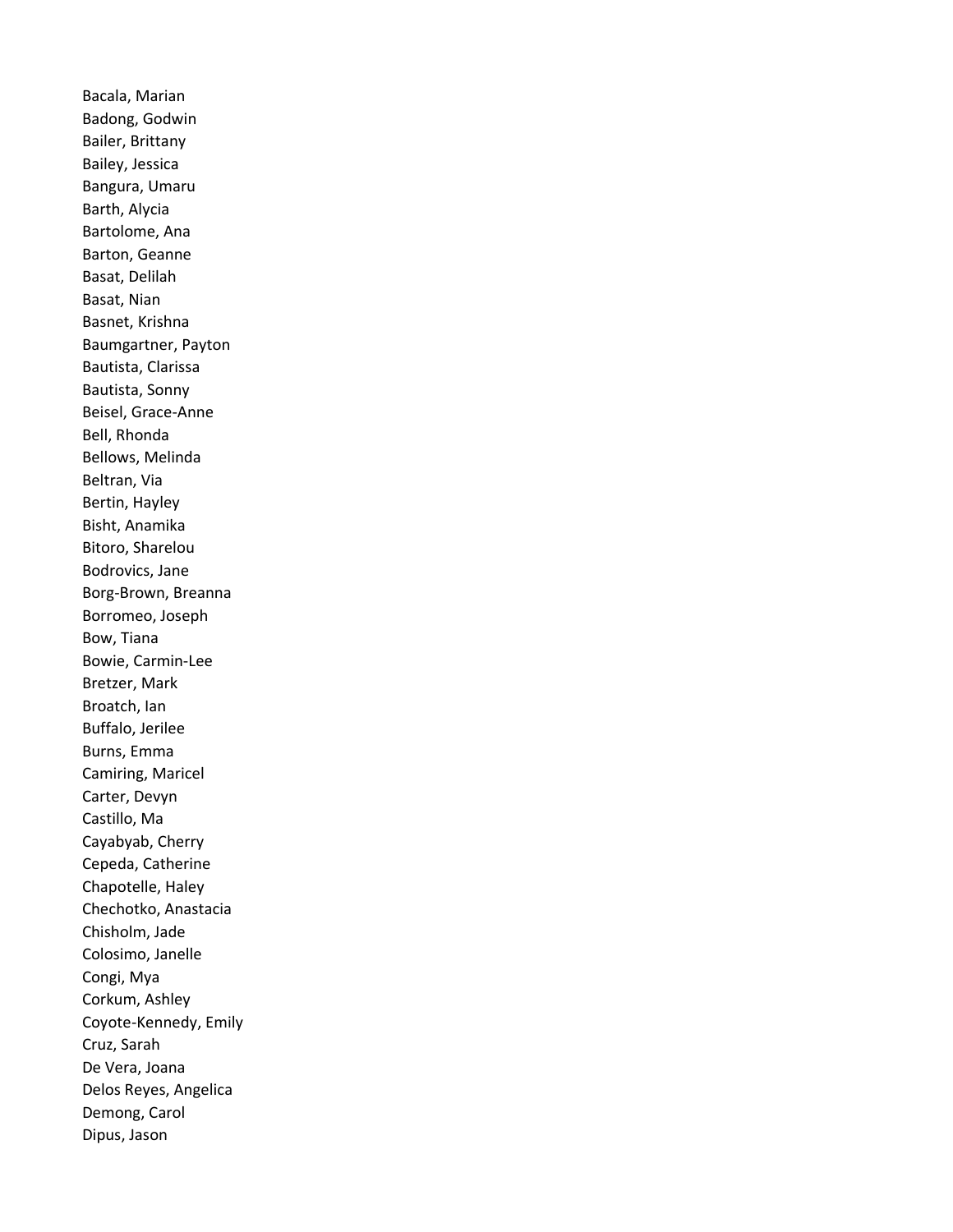Bacala, Marian Badong, Godwin Bailer, Brittany Bailey, Jessica Bangura, Umaru Barth, Alycia Bartolome, Ana Barton, Geanne Basat, Delilah Basat, Nian Basnet, Krishna Baumgartner, Payton Bautista, Clarissa Bautista, Sonny Beisel, Grace-Anne Bell, Rhonda Bellows, Melinda Beltran, Via Bertin, Hayley Bisht, Anamika Bitoro, Sharelou Bodrovics, Jane Borg-Brown, Breanna Borromeo, Joseph Bow, Tiana Bowie, Carmin-Lee Bretzer, Mark Broatch, Ian Buffalo, Jerilee Burns, Emma Camiring, Maricel Carter, Devyn Castillo, Ma Cayabyab, Cherry Cepeda, Catherine Chapotelle, Haley Chechotko, Anastacia Chisholm, Jade Colosimo, Janelle Congi, Mya Corkum, Ashley Coyote-Kennedy, Emily Cruz, Sarah De Vera, Joana Delos Reyes, Angelica Demong, Carol Dipus, Jason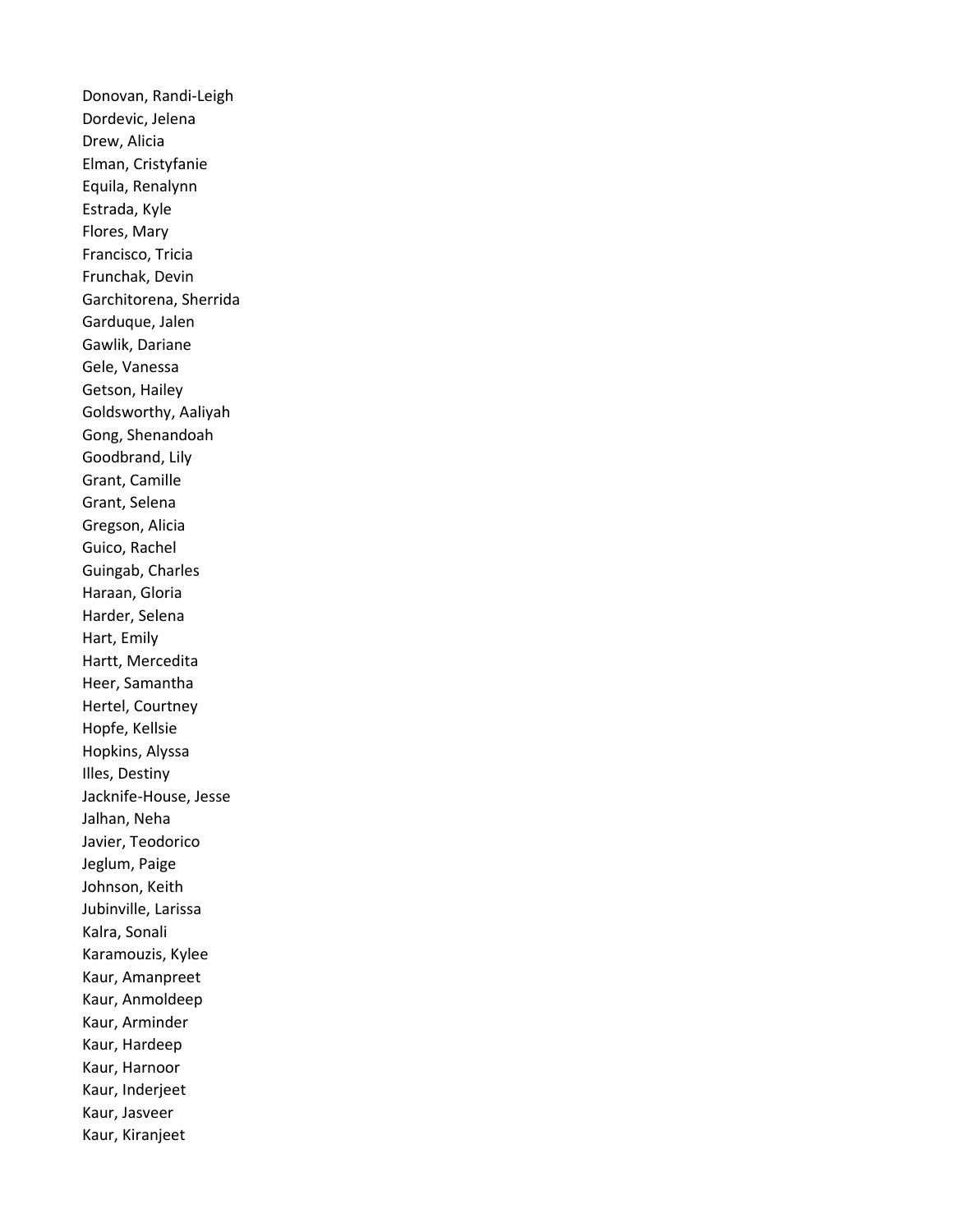Donovan, Randi-Leigh Dordevic, Jelena Drew, Alicia Elman, Cristyfanie Equila, Renalynn Estrada, Kyle Flores, Mary Francisco, Tricia Frunchak, Devin Garchitorena, Sherrida Garduque, Jalen Gawlik, Dariane Gele, Vanessa Getson, Hailey Goldsworthy, Aaliyah Gong, Shenandoah Goodbrand, Lily Grant, Camille Grant, Selena Gregson, Alicia Guico, Rachel Guingab, Charles Haraan, Gloria Harder, Selena Hart, Emily Hartt, Mercedita Heer, Samantha Hertel, Courtney Hopfe, Kellsie Hopkins, Alyssa Illes, Destiny Jacknife-House, Jesse Jalhan, Neha Javier, Teodorico Jeglum, Paige Johnson, Keith Jubinville, Larissa Kalra, Sonali Karamouzis, Kylee Kaur, Amanpreet Kaur, Anmoldeep Kaur, Arminder Kaur, Hardeep Kaur, Harnoor Kaur, Inderjeet Kaur, Jasveer Kaur, Kiranjeet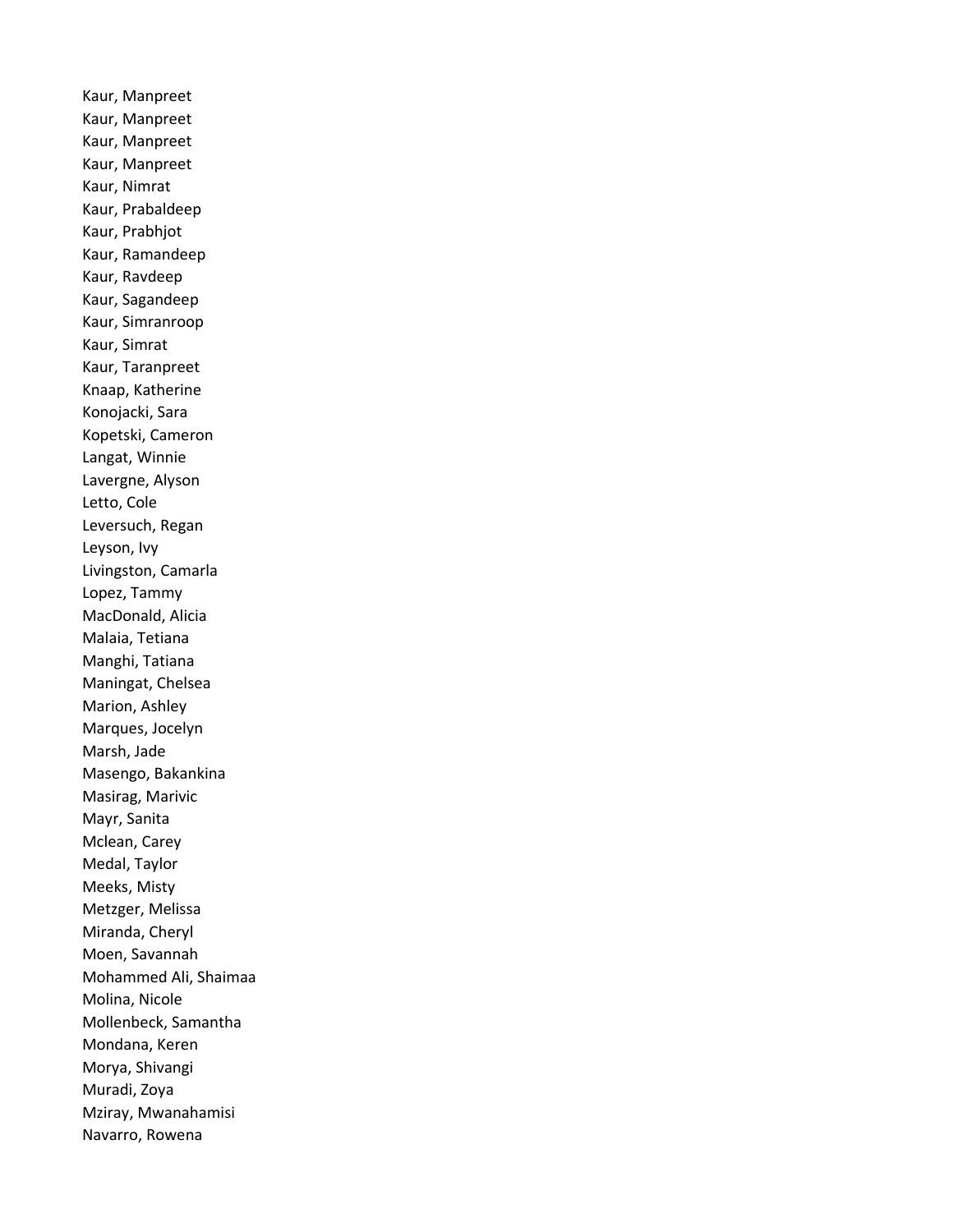Kaur, Manpreet Kaur, Manpreet Kaur, Manpreet Kaur, Manpreet Kaur, Nimrat Kaur, Prabaldeep Kaur, Prabhjot Kaur, Ramandeep Kaur, Ravdeep Kaur, Sagandeep Kaur, Simranroop Kaur, Simrat Kaur, Taranpreet Knaap, Katherine Konojacki, Sara Kopetski, Cameron Langat, Winnie Lavergne, Alyson Letto, Cole Leversuch, Regan Leyson, Ivy Livingston, Camarla Lopez, Tammy MacDonald, Alicia Malaia, Tetiana Manghi, Tatiana Maningat, Chelsea Marion, Ashley Marques, Jocelyn Marsh, Jade Masengo, Bakankina Masirag, Marivic Mayr, Sanita Mclean, Carey Medal, Taylor Meeks, Misty Metzger, Melissa Miranda, Cheryl Moen, Savannah Mohammed Ali, Shaimaa Molina, Nicole Mollenbeck, Samantha Mondana, Keren Morya, Shivangi Muradi, Zoya Mziray, Mwanahamisi Navarro, Rowena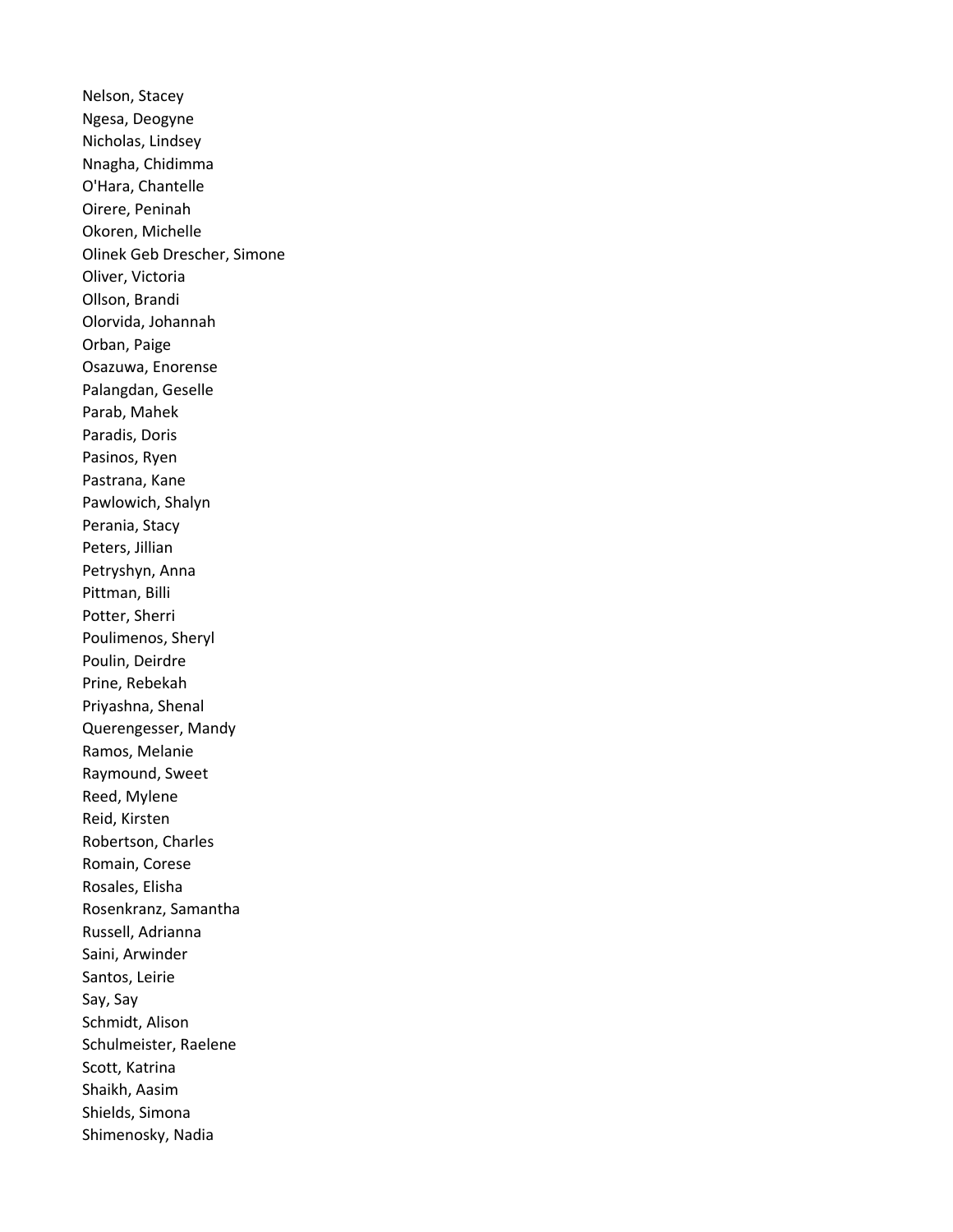Nelson, Stacey Ngesa, Deogyne Nicholas, Lindsey Nnagha, Chidimma O'Hara, Chantelle Oirere, Peninah Okoren, Michelle Olinek Geb Drescher, Simone Oliver, Victoria Ollson, Brandi Olorvida, Johannah Orban, Paige Osazuwa, Enorense Palangdan, Geselle Parab, Mahek Paradis, Doris Pasinos, Ryen Pastrana, Kane Pawlowich, Shalyn Perania, Stacy Peters, Jillian Petryshyn, Anna Pittman, Billi Potter, Sherri Poulimenos, Sheryl Poulin, Deirdre Prine, Rebekah Priyashna, Shenal Querengesser, Mandy Ramos, Melanie Raymound, Sweet Reed, Mylene Reid, Kirsten Robertson, Charles Romain, Corese Rosales, Elisha Rosenkranz, Samantha Russell, Adrianna Saini, Arwinder Santos, Leirie Say, Say Schmidt, Alison Schulmeister, Raelene Scott, Katrina Shaikh, Aasim Shields, Simona Shimenosky, Nadia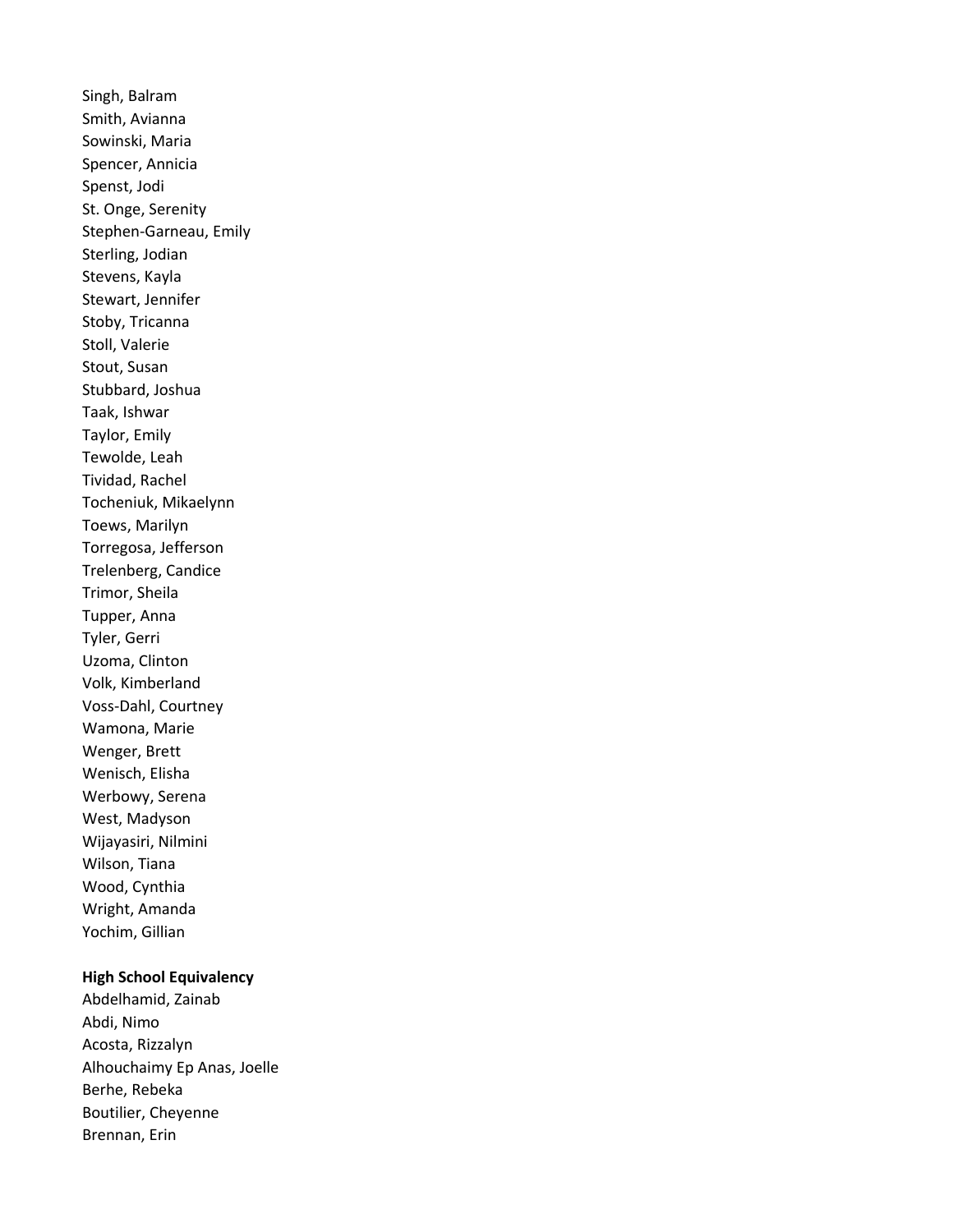Singh, Balram Smith, Avianna Sowinski, Maria Spencer, Annicia Spenst, Jodi St. Onge, Serenity Stephen-Garneau, Emily Sterling, Jodian Stevens, Kayla Stewart, Jennifer Stoby, Tricanna Stoll, Valerie Stout, Susan Stubbard, Joshua Taak, Ishwar Taylor, Emily Tewolde, Leah Tividad, Rachel Tocheniuk, Mikaelynn Toews, Marilyn Torregosa, Jefferson Trelenberg, Candice Trimor, Sheila Tupper, Anna Tyler, Gerri Uzoma, Clinton Volk, Kimberland Voss-Dahl, Courtney Wamona, Marie Wenger, Brett Wenisch, Elisha Werbowy, Serena West, Madyson Wijayasiri, Nilmini Wilson, Tiana Wood, Cynthia Wright, Amanda Yochim, Gillian

# High School Equivalency

Abdelhamid, Zainab Abdi, Nimo Acosta, Rizzalyn Alhouchaimy Ep Anas, Joelle Berhe, Rebeka Boutilier, Cheyenne Brennan, Erin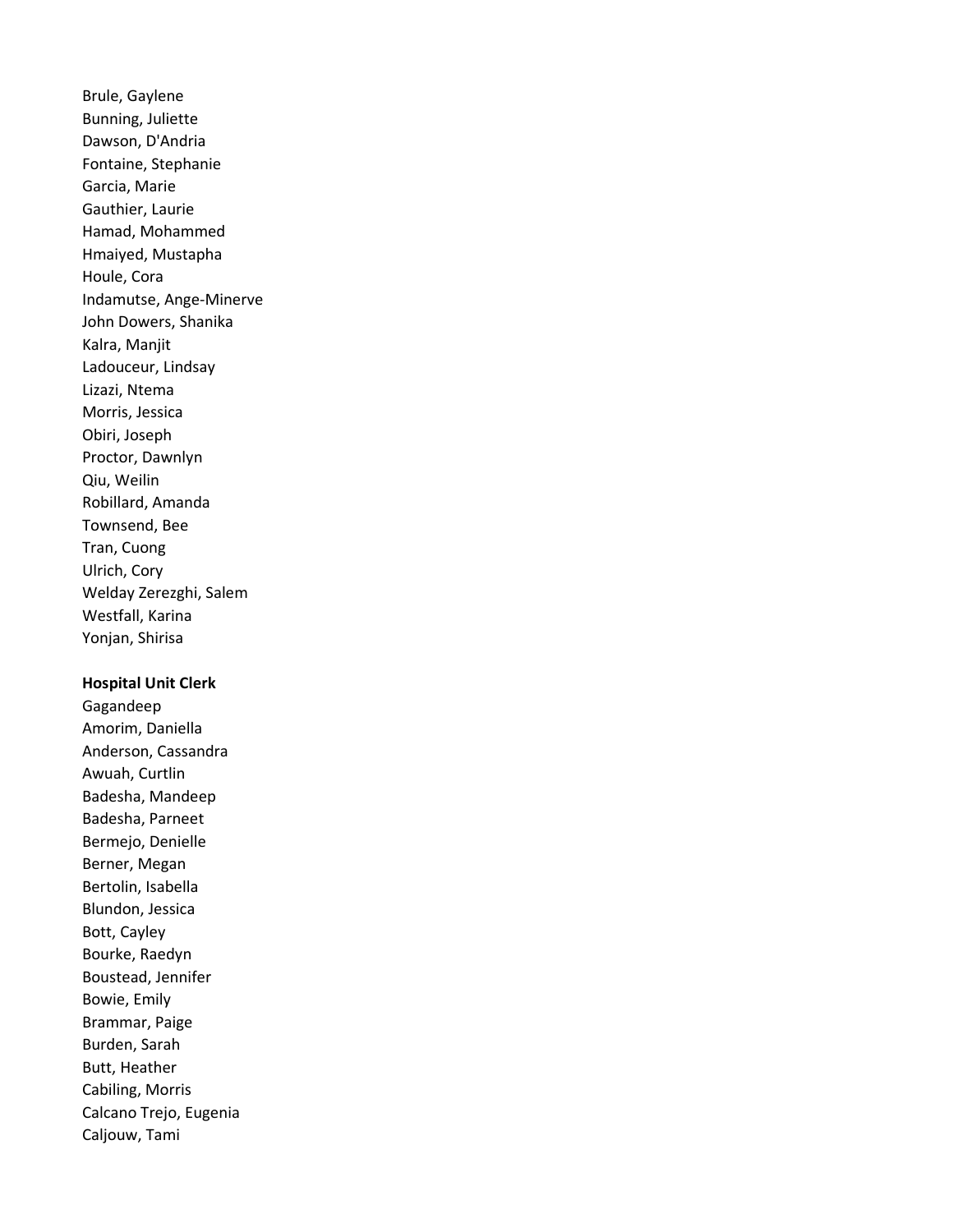Brule, Gaylene Bunning, Juliette Dawson, D'Andria Fontaine, Stephanie Garcia, Marie Gauthier, Laurie Hamad, Mohammed Hmaiyed, Mustapha Houle, Cora Indamutse, Ange-Minerve John Dowers, Shanika Kalra, Manjit Ladouceur, Lindsay Lizazi, Ntema Morris, Jessica Obiri, Joseph Proctor, Dawnlyn Qiu, Weilin Robillard, Amanda Townsend, Bee Tran, Cuong Ulrich, Cory Welday Zerezghi, Salem Westfall, Karina Yonjan, Shirisa

## Hospital Unit Clerk

Gagandeep Amorim, Daniella Anderson, Cassandra Awuah, Curtlin Badesha, Mandeep Badesha, Parneet Bermejo, Denielle Berner, Megan Bertolin, Isabella Blundon, Jessica Bott, Cayley Bourke, Raedyn Boustead, Jennifer Bowie, Emily Brammar, Paige Burden, Sarah Butt, Heather Cabiling, Morris Calcano Trejo, Eugenia Caljouw, Tami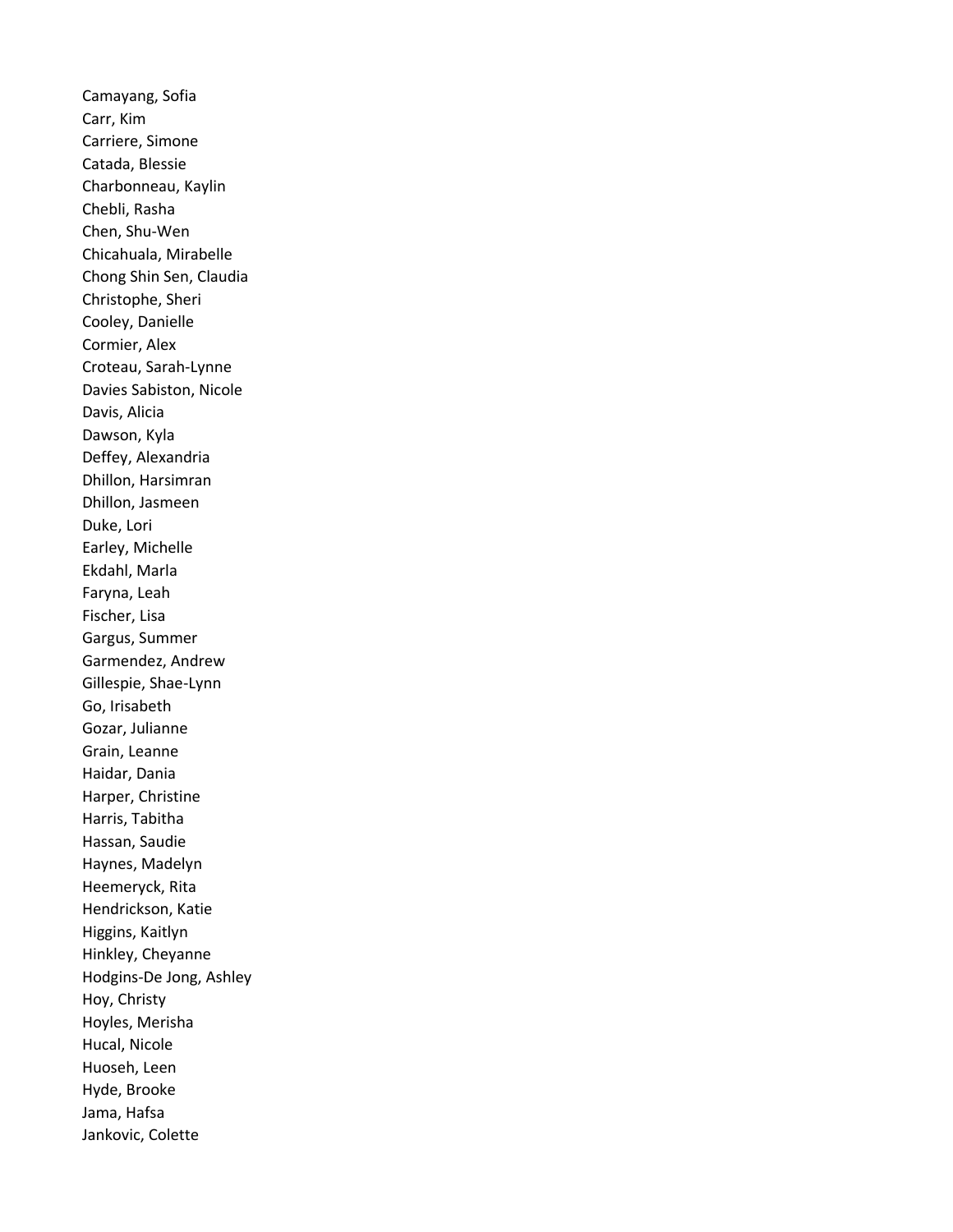Camayang, Sofia Carr, Kim Carriere, Simone Catada, Blessie Charbonneau, Kaylin Chebli, Rasha Chen, Shu-Wen Chicahuala, Mirabelle Chong Shin Sen, Claudia Christophe, Sheri Cooley, Danielle Cormier, Alex Croteau, Sarah-Lynne Davies Sabiston, Nicole Davis, Alicia Dawson, Kyla Deffey, Alexandria Dhillon, Harsimran Dhillon, Jasmeen Duke, Lori Earley, Michelle Ekdahl, Marla Faryna, Leah Fischer, Lisa Gargus, Summer Garmendez, Andrew Gillespie, Shae-Lynn Go, Irisabeth Gozar, Julianne Grain, Leanne Haidar, Dania Harper, Christine Harris, Tabitha Hassan, Saudie Haynes, Madelyn Heemeryck, Rita Hendrickson, Katie Higgins, Kaitlyn Hinkley, Cheyanne Hodgins-De Jong, Ashley Hoy, Christy Hoyles, Merisha Hucal, Nicole Huoseh, Leen Hyde, Brooke Jama, Hafsa Jankovic, Colette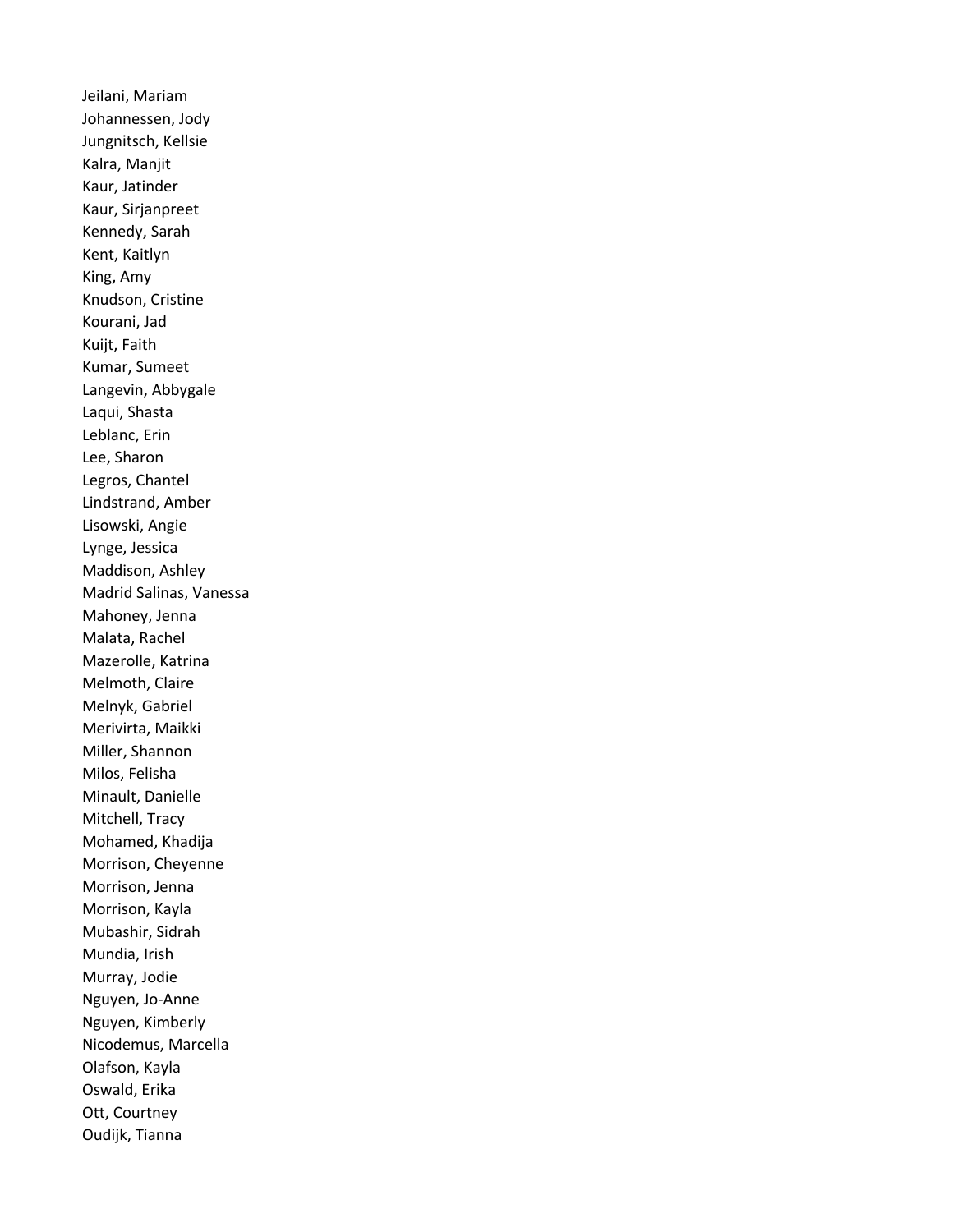Jeilani, Mariam Johannessen, Jody Jungnitsch, Kellsie Kalra, Manjit Kaur, Jatinder Kaur, Sirjanpreet Kennedy, Sarah Kent, Kaitlyn King, Amy Knudson, Cristine Kourani, Jad Kuijt, Faith Kumar, Sumeet Langevin, Abbygale Laqui, Shasta Leblanc, Erin Lee, Sharon Legros, Chantel Lindstrand, Amber Lisowski, Angie Lynge, Jessica Maddison, Ashley Madrid Salinas, Vanessa Mahoney, Jenna Malata, Rachel Mazerolle, Katrina Melmoth, Claire Melnyk, Gabriel Merivirta, Maikki Miller, Shannon Milos, Felisha Minault, Danielle Mitchell, Tracy Mohamed, Khadija Morrison, Cheyenne Morrison, Jenna Morrison, Kayla Mubashir, Sidrah Mundia, Irish Murray, Jodie Nguyen, Jo-Anne Nguyen, Kimberly Nicodemus, Marcella Olafson, Kayla Oswald, Erika Ott, Courtney Oudijk, Tianna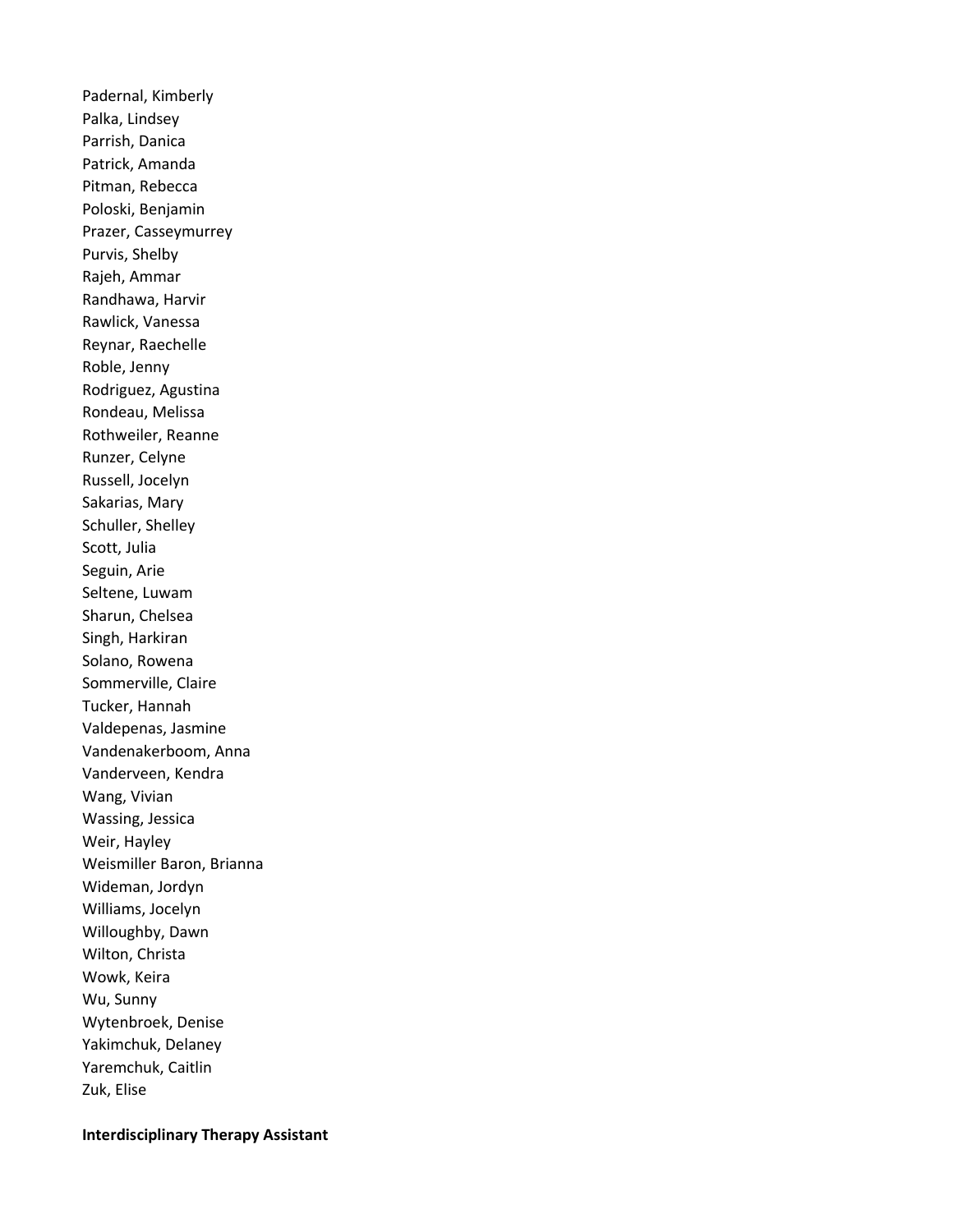Padernal, Kimberly Palka, Lindsey Parrish, Danica Patrick, Amanda Pitman, Rebecca Poloski, Benjamin Prazer, Casseymurrey Purvis, Shelby Rajeh, Ammar Randhawa, Harvir Rawlick, Vanessa Reynar, Raechelle Roble, Jenny Rodriguez, Agustina Rondeau, Melissa Rothweiler, Reanne Runzer, Celyne Russell, Jocelyn Sakarias, Mary Schuller, Shelley Scott, Julia Seguin, Arie Seltene, Luwam Sharun, Chelsea Singh, Harkiran Solano, Rowena Sommerville, Claire Tucker, Hannah Valdepenas, Jasmine Vandenakerboom, Anna Vanderveen, Kendra Wang, Vivian Wassing, Jessica Weir, Hayley Weismiller Baron, Brianna Wideman, Jordyn Williams, Jocelyn Willoughby, Dawn Wilton, Christa Wowk, Keira Wu, Sunny Wytenbroek, Denise Yakimchuk, Delaney Yaremchuk, Caitlin Zuk, Elise

#### Interdisciplinary Therapy Assistant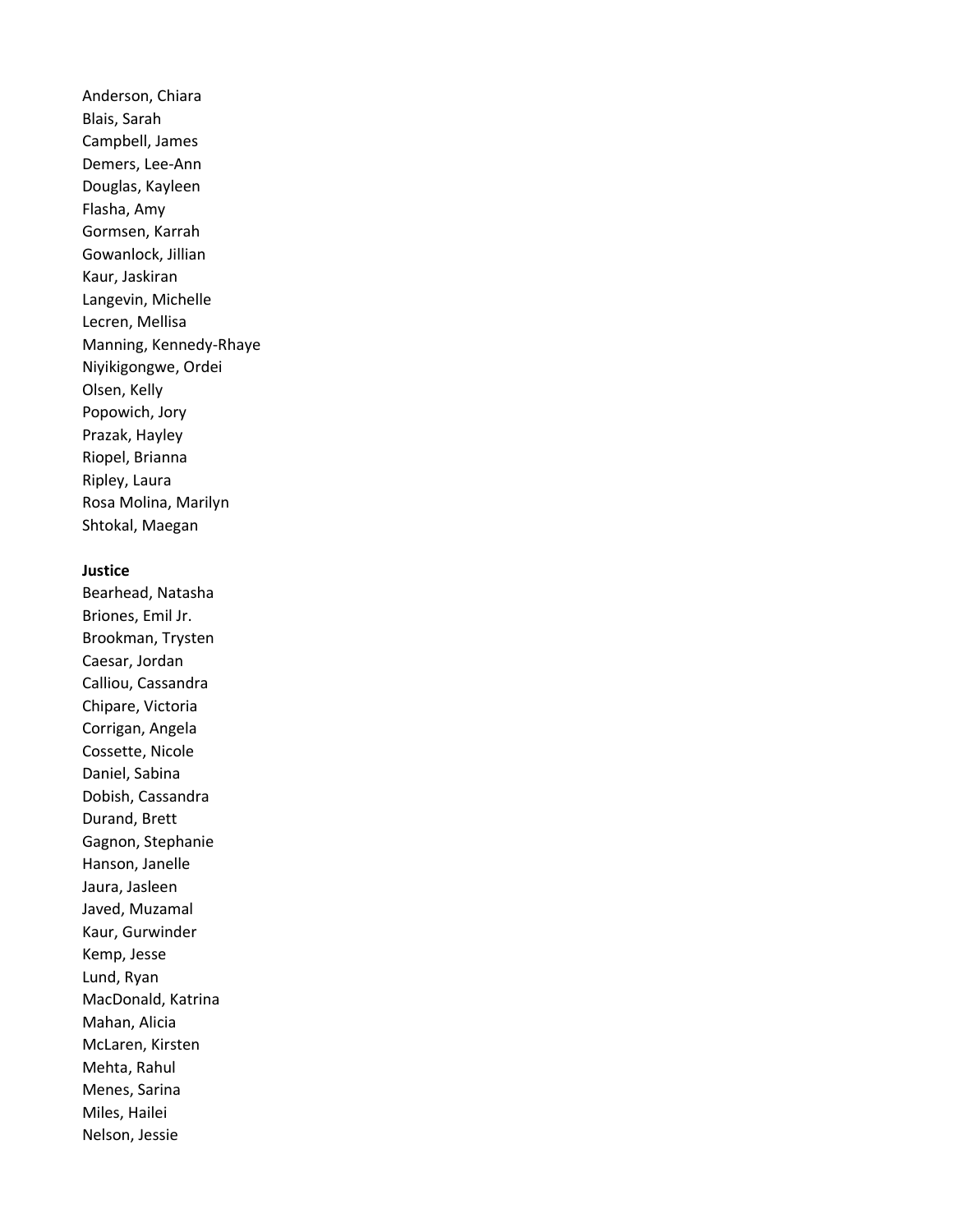Anderson, Chiara Blais, Sarah Campbell, James Demers, Lee-Ann Douglas, Kayleen Flasha, Amy Gormsen, Karrah Gowanlock, Jillian Kaur, Jaskiran Langevin, Michelle Lecren, Mellisa Manning, Kennedy-Rhaye Niyikigongwe, Ordei Olsen, Kelly Popowich, Jory Prazak, Hayley Riopel, Brianna Ripley, Laura Rosa Molina, Marilyn Shtokal, Maegan

#### Justice

Bearhead, Natasha Briones, Emil Jr. Brookman, Trysten Caesar, Jordan Calliou, Cassandra Chipare, Victoria Corrigan, Angela Cossette, Nicole Daniel, Sabina Dobish, Cassandra Durand, Brett Gagnon, Stephanie Hanson, Janelle Jaura, Jasleen Javed, Muzamal Kaur, Gurwinder Kemp, Jesse Lund, Ryan MacDonald, Katrina Mahan, Alicia McLaren, Kirsten Mehta, Rahul Menes, Sarina Miles, Hailei Nelson, Jessie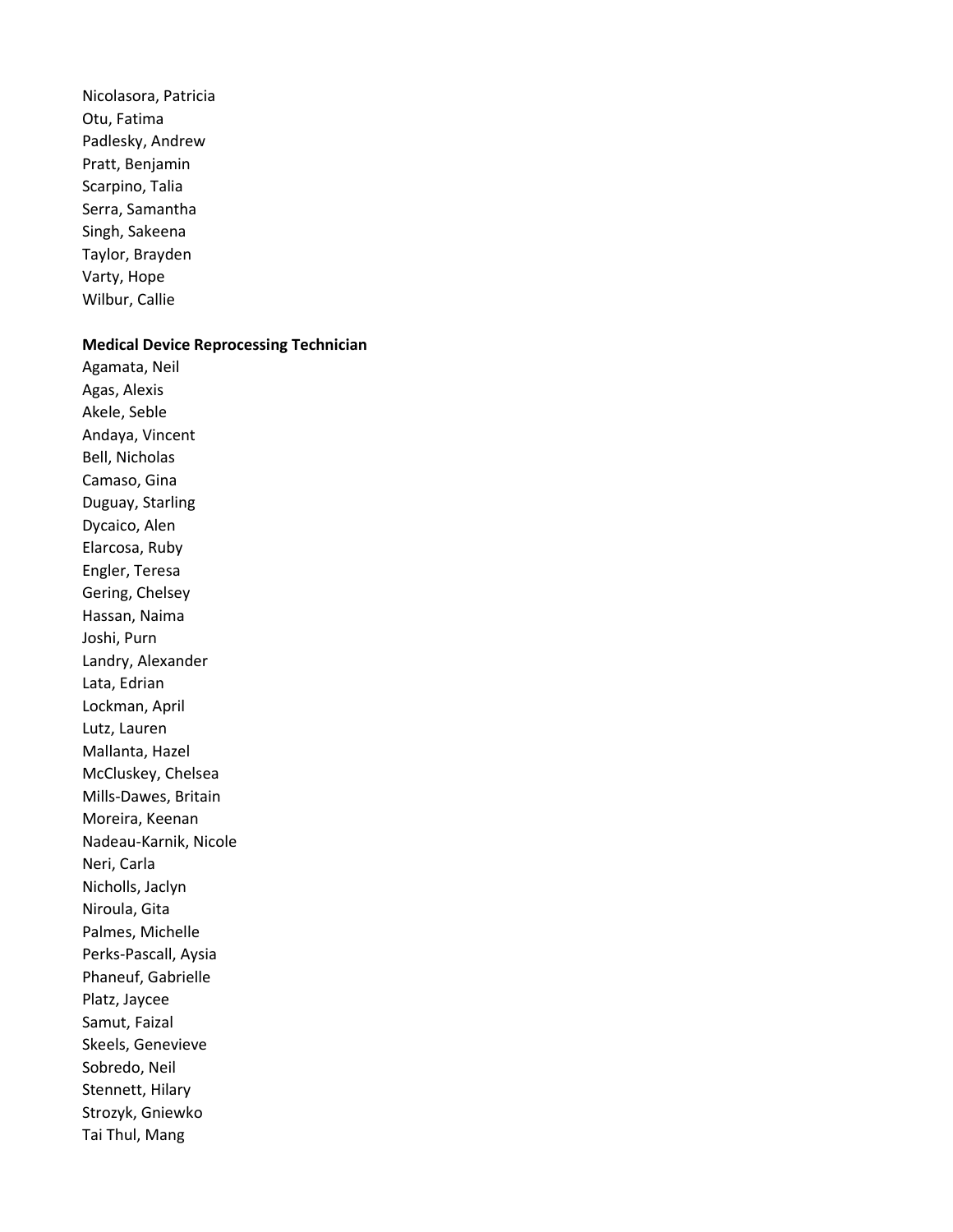Nicolasora, Patricia Otu, Fatima Padlesky, Andrew Pratt, Benjamin Scarpino, Talia Serra, Samantha Singh, Sakeena Taylor, Brayden Varty, Hope Wilbur, Callie

#### Medical Device Reprocessing Technician

Agamata, Neil Agas, Alexis Akele, Seble Andaya, Vincent Bell, Nicholas Camaso, Gina Duguay, Starling Dycaico, Alen Elarcosa, Ruby Engler, Teresa Gering, Chelsey Hassan, Naima Joshi, Purn Landry, Alexander Lata, Edrian Lockman, April Lutz, Lauren Mallanta, Hazel McCluskey, Chelsea Mills-Dawes, Britain Moreira, Keenan Nadeau-Karnik, Nicole Neri, Carla Nicholls, Jaclyn Niroula, Gita Palmes, Michelle Perks-Pascall, Aysia Phaneuf, Gabrielle Platz, Jaycee Samut, Faizal Skeels, Genevieve Sobredo, Neil Stennett, Hilary Strozyk, Gniewko Tai Thul, Mang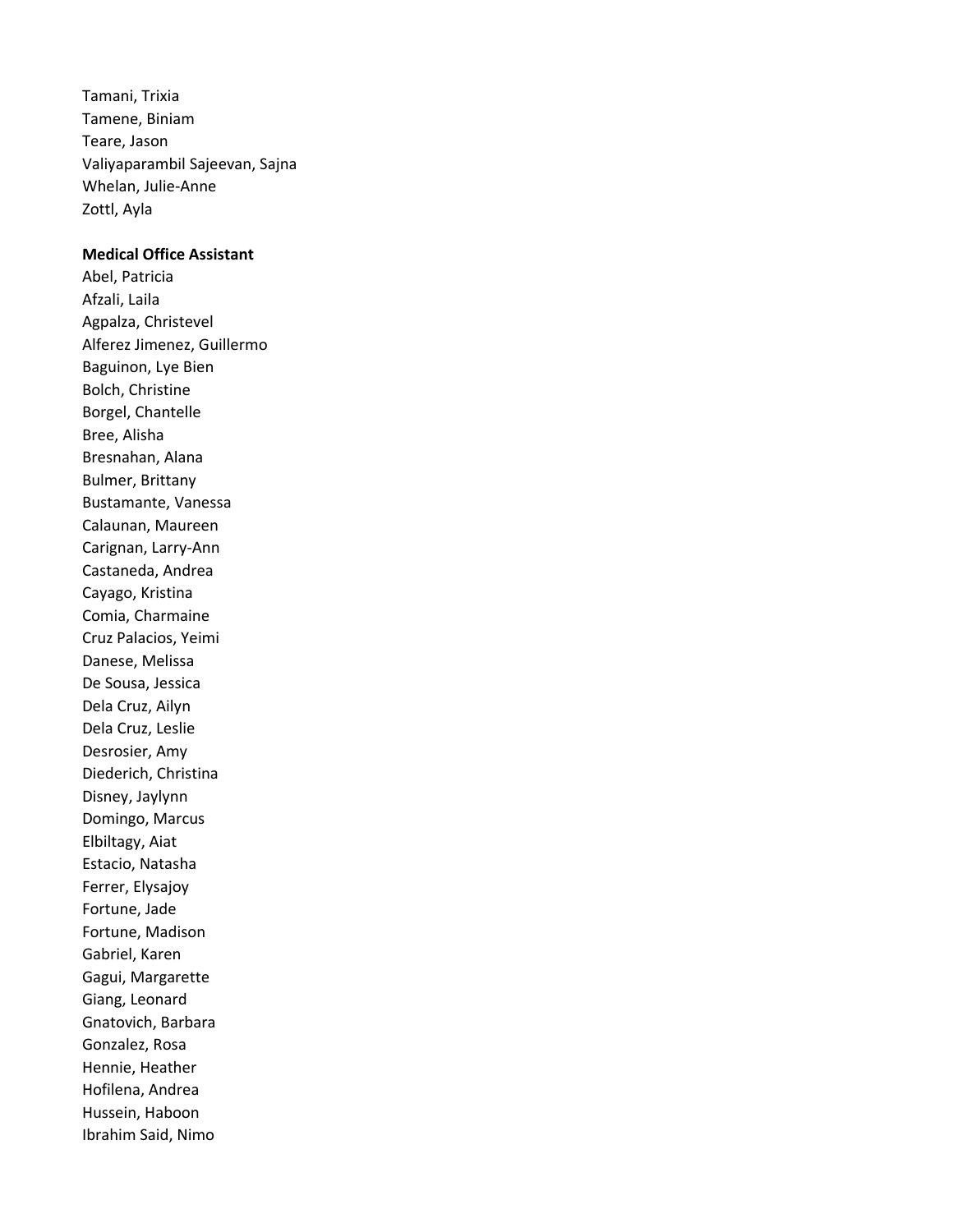Tamani, Trixia Tamene, Biniam Teare, Jason Valiyaparambil Sajeevan, Sajna Whelan, Julie-Anne Zottl, Ayla

#### Medical Office Assistant

Abel, Patricia Afzali, Laila Agpalza, Christevel Alferez Jimenez, Guillermo Baguinon, Lye Bien Bolch, Christine Borgel, Chantelle Bree, Alisha Bresnahan, Alana Bulmer, Brittany Bustamante, Vanessa Calaunan, Maureen Carignan, Larry-Ann Castaneda, Andrea Cayago, Kristina Comia, Charmaine Cruz Palacios, Yeimi Danese, Melissa De Sousa, Jessica Dela Cruz, Ailyn Dela Cruz, Leslie Desrosier, Amy Diederich, Christina Disney, Jaylynn Domingo, Marcus Elbiltagy, Aiat Estacio, Natasha Ferrer, Elysajoy Fortune, Jade Fortune, Madison Gabriel, Karen Gagui, Margarette Giang, Leonard Gnatovich, Barbara Gonzalez, Rosa Hennie, Heather Hofilena, Andrea Hussein, Haboon Ibrahim Said, Nimo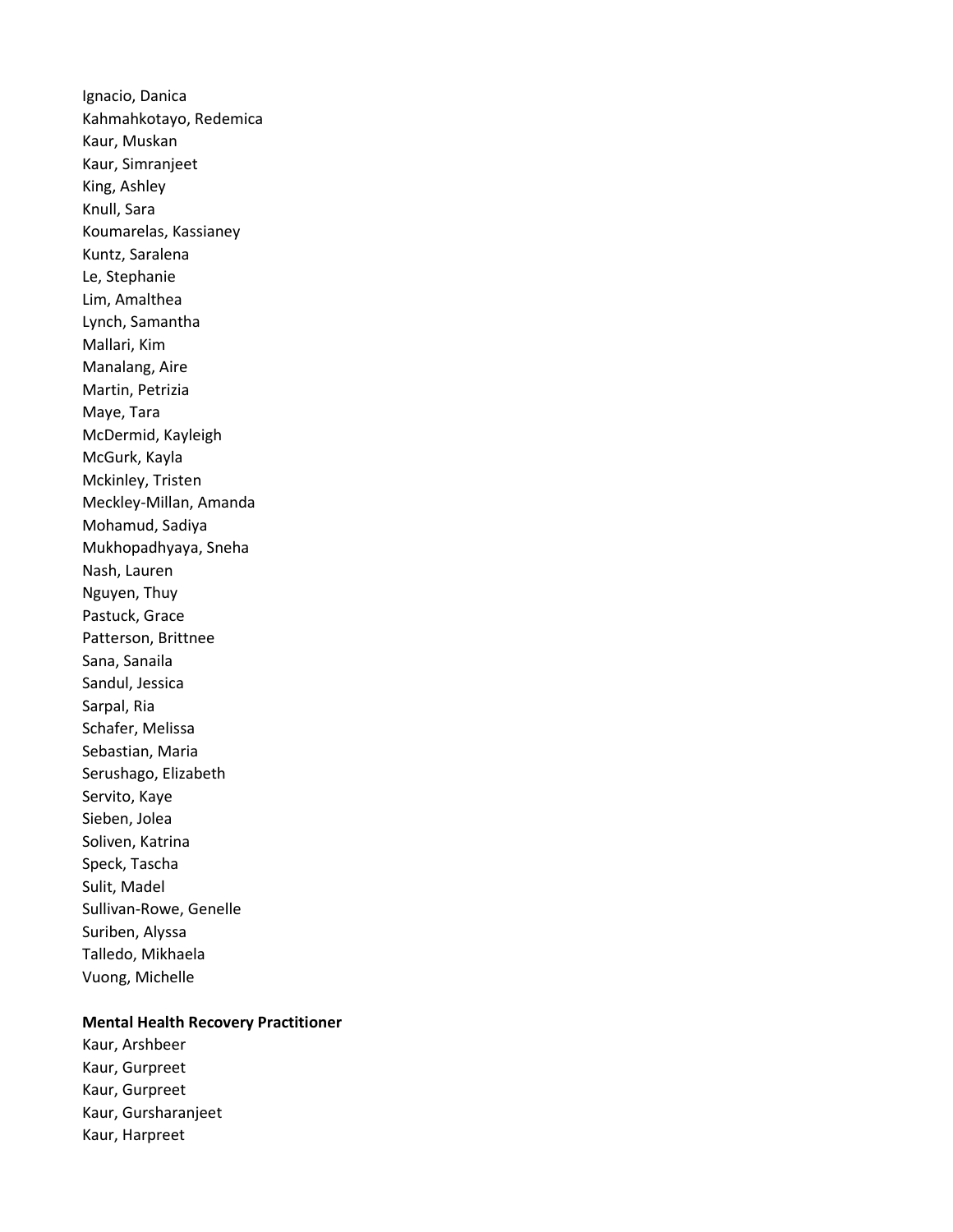Ignacio, Danica Kahmahkotayo, Redemica Kaur, Muskan Kaur, Simranjeet King, Ashley Knull, Sara Koumarelas, Kassianey Kuntz, Saralena Le, Stephanie Lim, Amalthea Lynch, Samantha Mallari, Kim Manalang, Aire Martin, Petrizia Maye, Tara McDermid, Kayleigh McGurk, Kayla Mckinley, Tristen Meckley-Millan, Amanda Mohamud, Sadiya Mukhopadhyaya, Sneha Nash, Lauren Nguyen, Thuy Pastuck, Grace Patterson, Brittnee Sana, Sanaila Sandul, Jessica Sarpal, Ria Schafer, Melissa Sebastian, Maria Serushago, Elizabeth Servito, Kaye Sieben, Jolea Soliven, Katrina Speck, Tascha Sulit, Madel Sullivan-Rowe, Genelle Suriben, Alyssa Talledo, Mikhaela Vuong, Michelle

#### Mental Health Recovery Practitioner

Kaur, Arshbeer Kaur, Gurpreet Kaur, Gurpreet Kaur, Gursharanjeet Kaur, Harpreet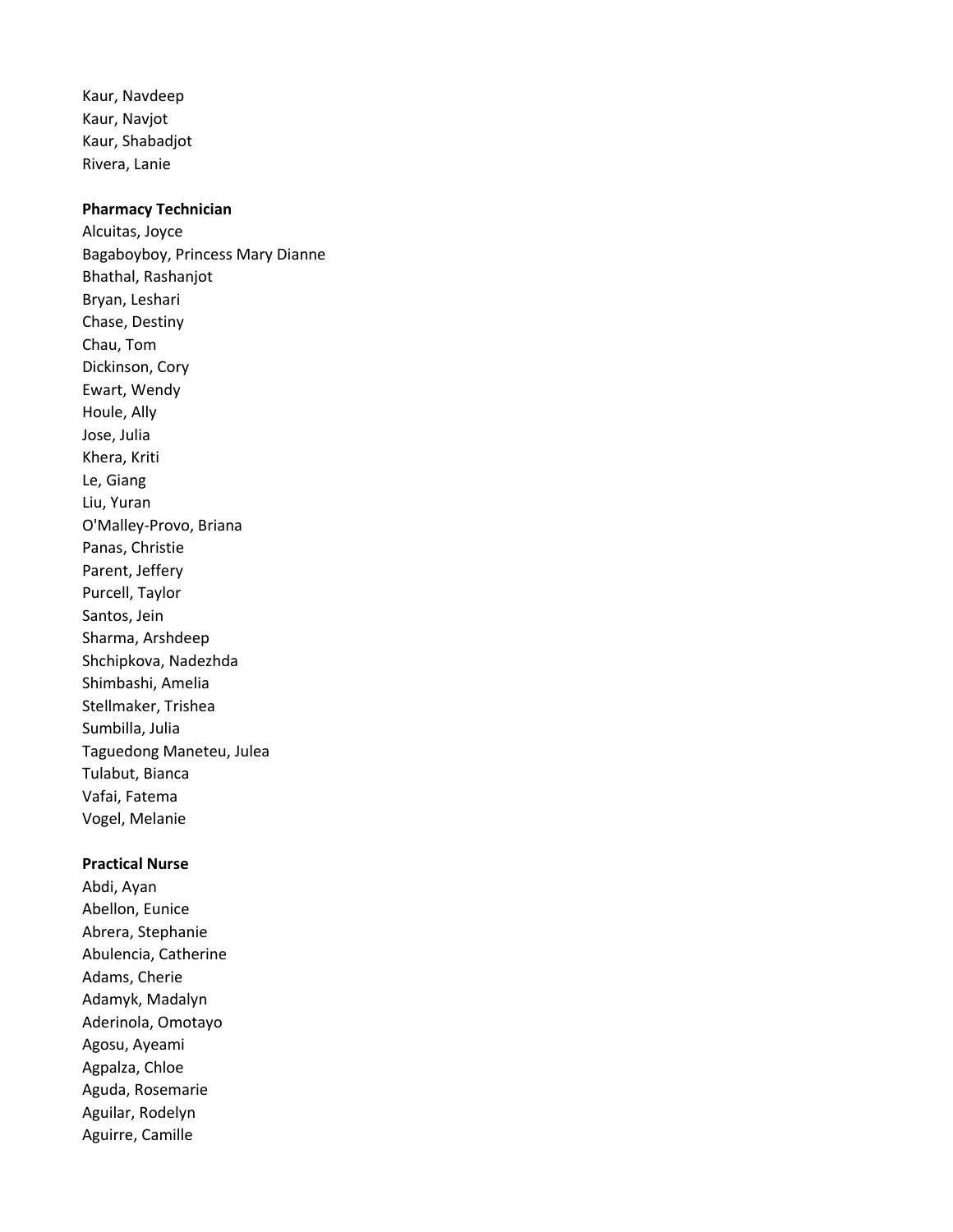Kaur, Navdeep Kaur, Navjot Kaur, Shabadjot Rivera, Lanie

#### Pharmacy Technician

Alcuitas, Joyce Bagaboyboy, Princess Mary Dianne Bhathal, Rashanjot Bryan, Leshari Chase, Destiny Chau, Tom Dickinson, Cory Ewart, Wendy Houle, Ally Jose, Julia Khera, Kriti Le, Giang Liu, Yuran O'Malley-Provo, Briana Panas, Christie Parent, Jeffery Purcell, Taylor Santos, Jein Sharma, Arshdeep Shchipkova, Nadezhda Shimbashi, Amelia Stellmaker, Trishea Sumbilla, Julia Taguedong Maneteu, Julea Tulabut, Bianca Vafai, Fatema Vogel, Melanie

## Practical Nurse

Abdi, Ayan Abellon, Eunice Abrera, Stephanie Abulencia, Catherine Adams, Cherie Adamyk, Madalyn Aderinola, Omotayo Agosu, Ayeami Agpalza, Chloe Aguda, Rosemarie Aguilar, Rodelyn Aguirre, Camille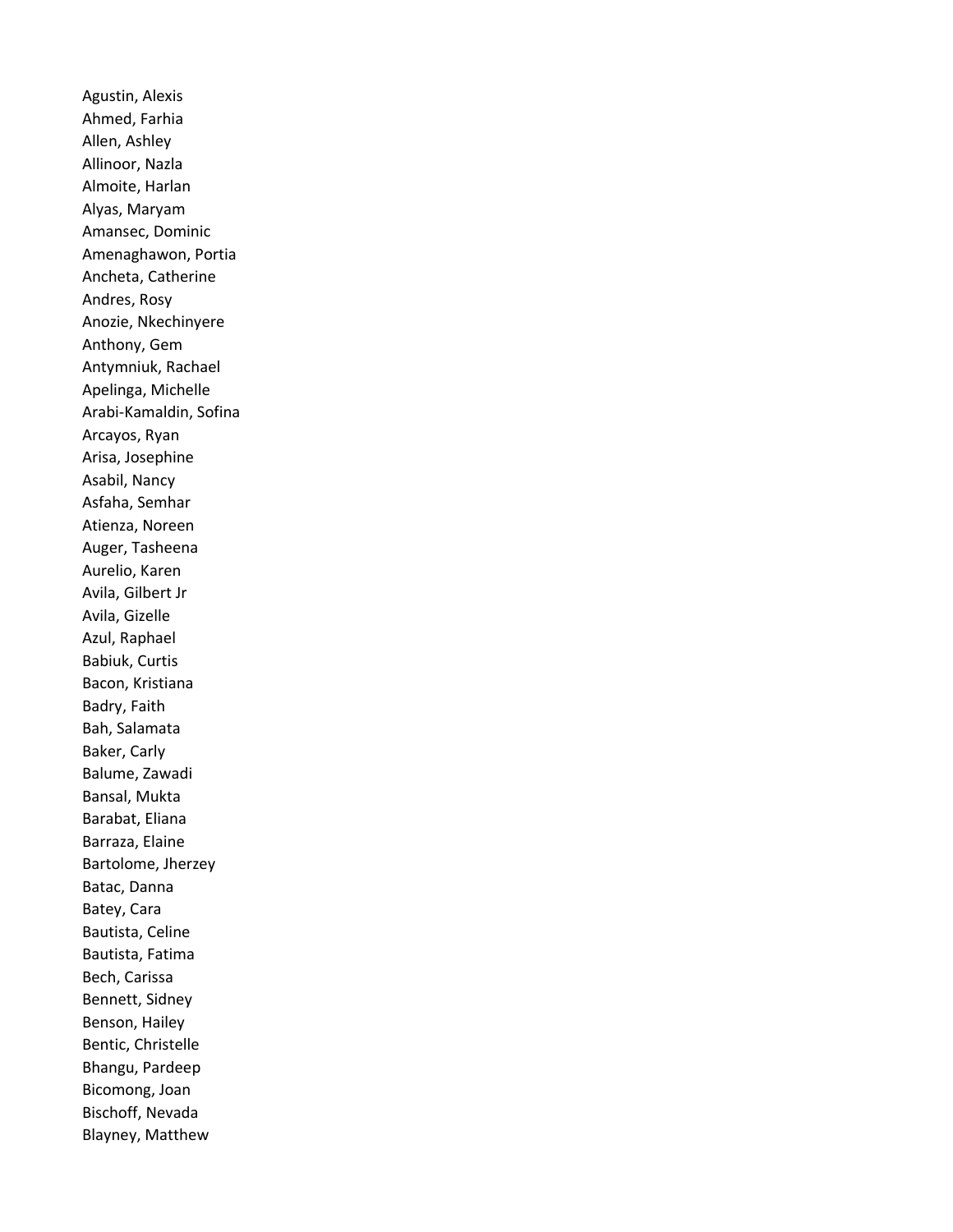Agustin, Alexis Ahmed, Farhia Allen, Ashley Allinoor, Nazla Almoite, Harlan Alyas, Maryam Amansec, Dominic Amenaghawon, Portia Ancheta, Catherine Andres, Rosy Anozie, Nkechinyere Anthony, Gem Antymniuk, Rachael Apelinga, Michelle Arabi-Kamaldin, Sofina Arcayos, Ryan Arisa, Josephine Asabil, Nancy Asfaha, Semhar Atienza, Noreen Auger, Tasheena Aurelio, Karen Avila, Gilbert Jr Avila, Gizelle Azul, Raphael Babiuk, Curtis Bacon, Kristiana Badry, Faith Bah, Salamata Baker, Carly Balume, Zawadi Bansal, Mukta Barabat, Eliana Barraza, Elaine Bartolome, Jherzey Batac, Danna Batey, Cara Bautista, Celine Bautista, Fatima Bech, Carissa Bennett, Sidney Benson, Hailey Bentic, Christelle Bhangu, Pardeep Bicomong, Joan Bischoff, Nevada Blayney, Matthew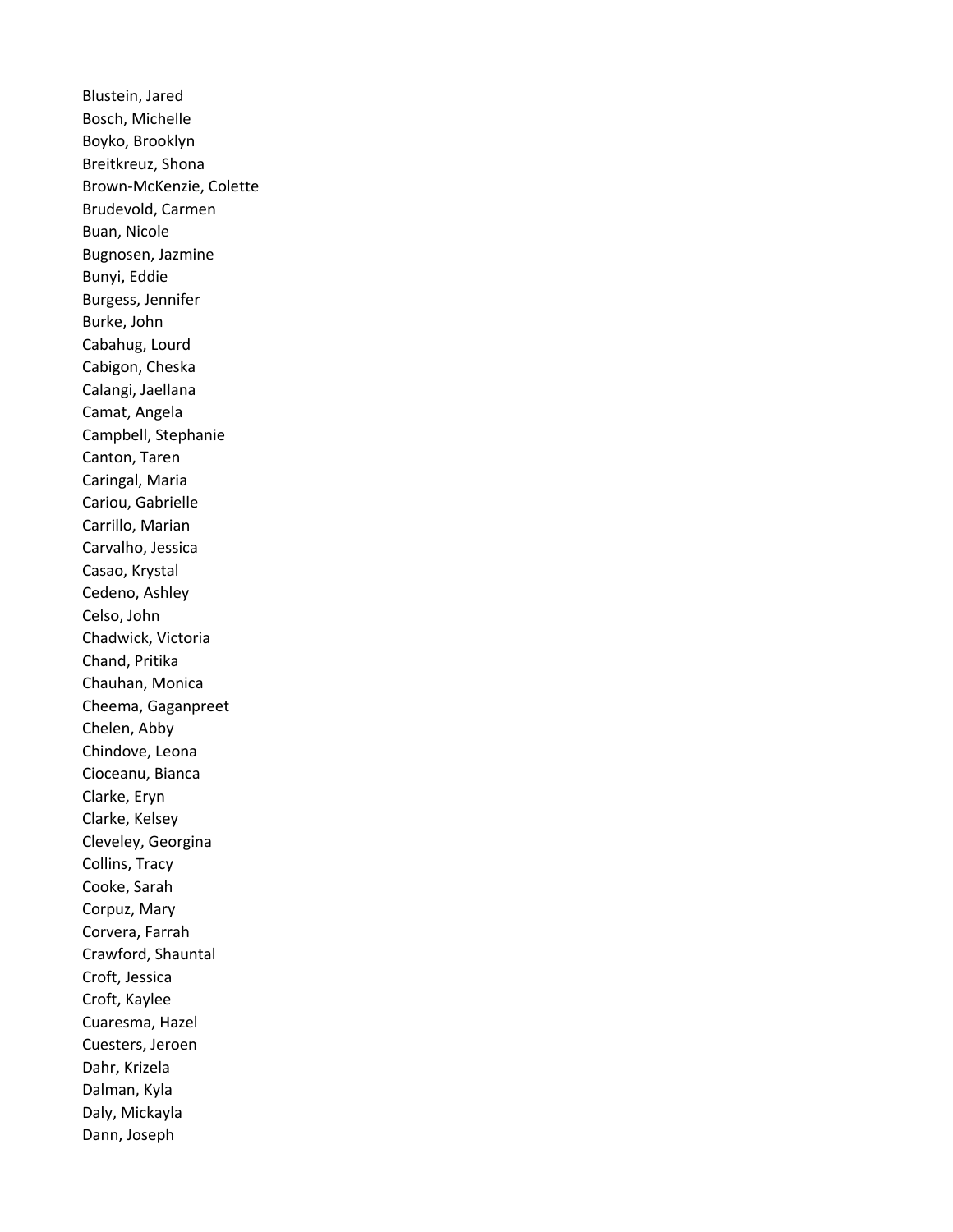Blustein, Jared Bosch, Michelle Boyko, Brooklyn Breitkreuz, Shona Brown-McKenzie, Colette Brudevold, Carmen Buan, Nicole Bugnosen, Jazmine Bunyi, Eddie Burgess, Jennifer Burke, John Cabahug, Lourd Cabigon, Cheska Calangi, Jaellana Camat, Angela Campbell, Stephanie Canton, Taren Caringal, Maria Cariou, Gabrielle Carrillo, Marian Carvalho, Jessica Casao, Krystal Cedeno, Ashley Celso, John Chadwick, Victoria Chand, Pritika Chauhan, Monica Cheema, Gaganpreet Chelen, Abby Chindove, Leona Cioceanu, Bianca Clarke, Eryn Clarke, Kelsey Cleveley, Georgina Collins, Tracy Cooke, Sarah Corpuz, Mary Corvera, Farrah Crawford, Shauntal Croft, Jessica Croft, Kaylee Cuaresma, Hazel Cuesters, Jeroen Dahr, Krizela Dalman, Kyla Daly, Mickayla Dann, Joseph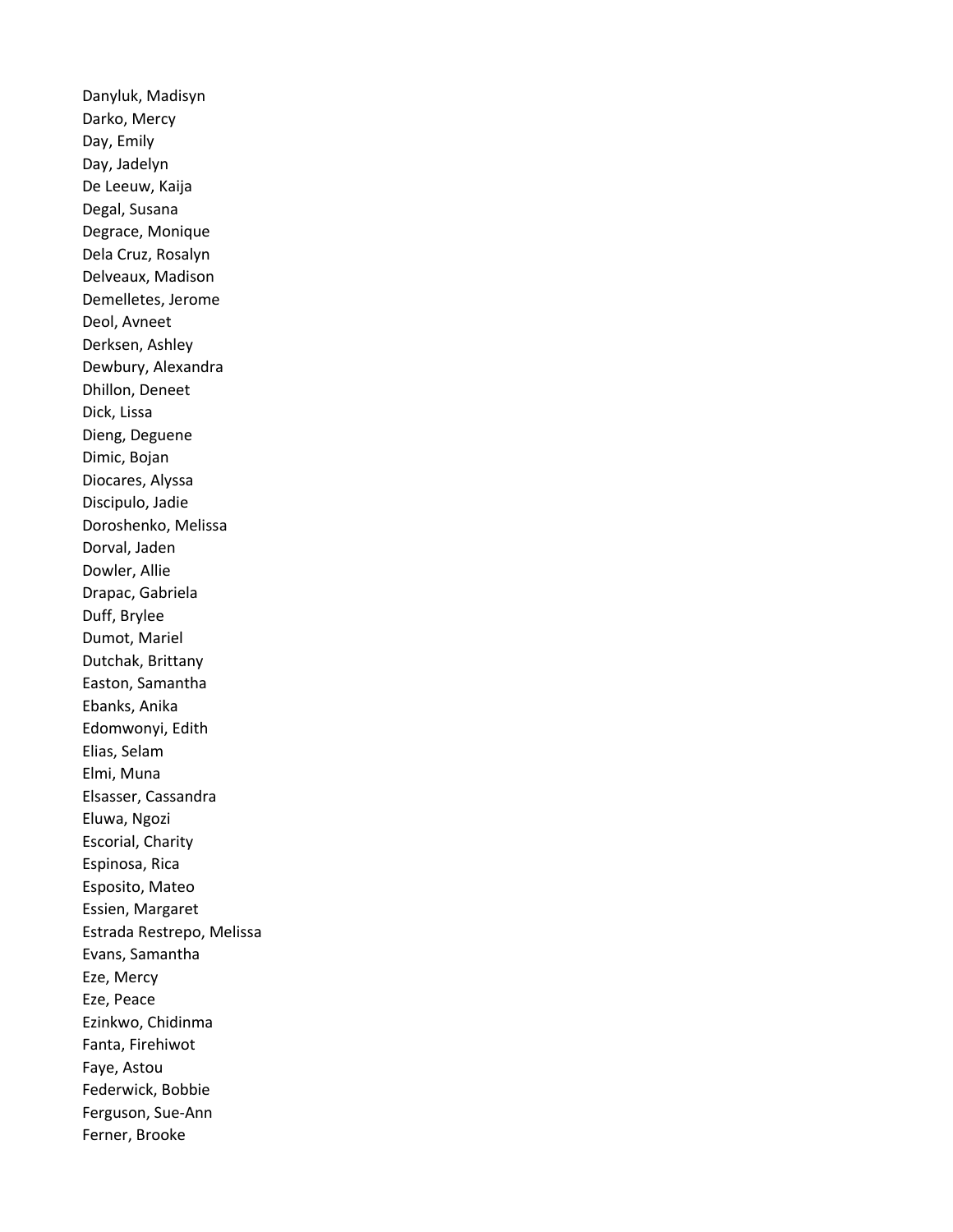Danyluk, Madisyn Darko, Mercy Day, Emily Day, Jadelyn De Leeuw, Kaija Degal, Susana Degrace, Monique Dela Cruz, Rosalyn Delveaux, Madison Demelletes, Jerome Deol, Avneet Derksen, Ashley Dewbury, Alexandra Dhillon, Deneet Dick, Lissa Dieng, Deguene Dimic, Bojan Diocares, Alyssa Discipulo, Jadie Doroshenko, Melissa Dorval, Jaden Dowler, Allie Drapac, Gabriela Duff, Brylee Dumot, Mariel Dutchak, Brittany Easton, Samantha Ebanks, Anika Edomwonyi, Edith Elias, Selam Elmi, Muna Elsasser, Cassandra Eluwa, Ngozi Escorial, Charity Espinosa, Rica Esposito, Mateo Essien, Margaret Estrada Restrepo, Melissa Evans, Samantha Eze, Mercy Eze, Peace Ezinkwo, Chidinma Fanta, Firehiwot Faye, Astou Federwick, Bobbie Ferguson, Sue-Ann Ferner, Brooke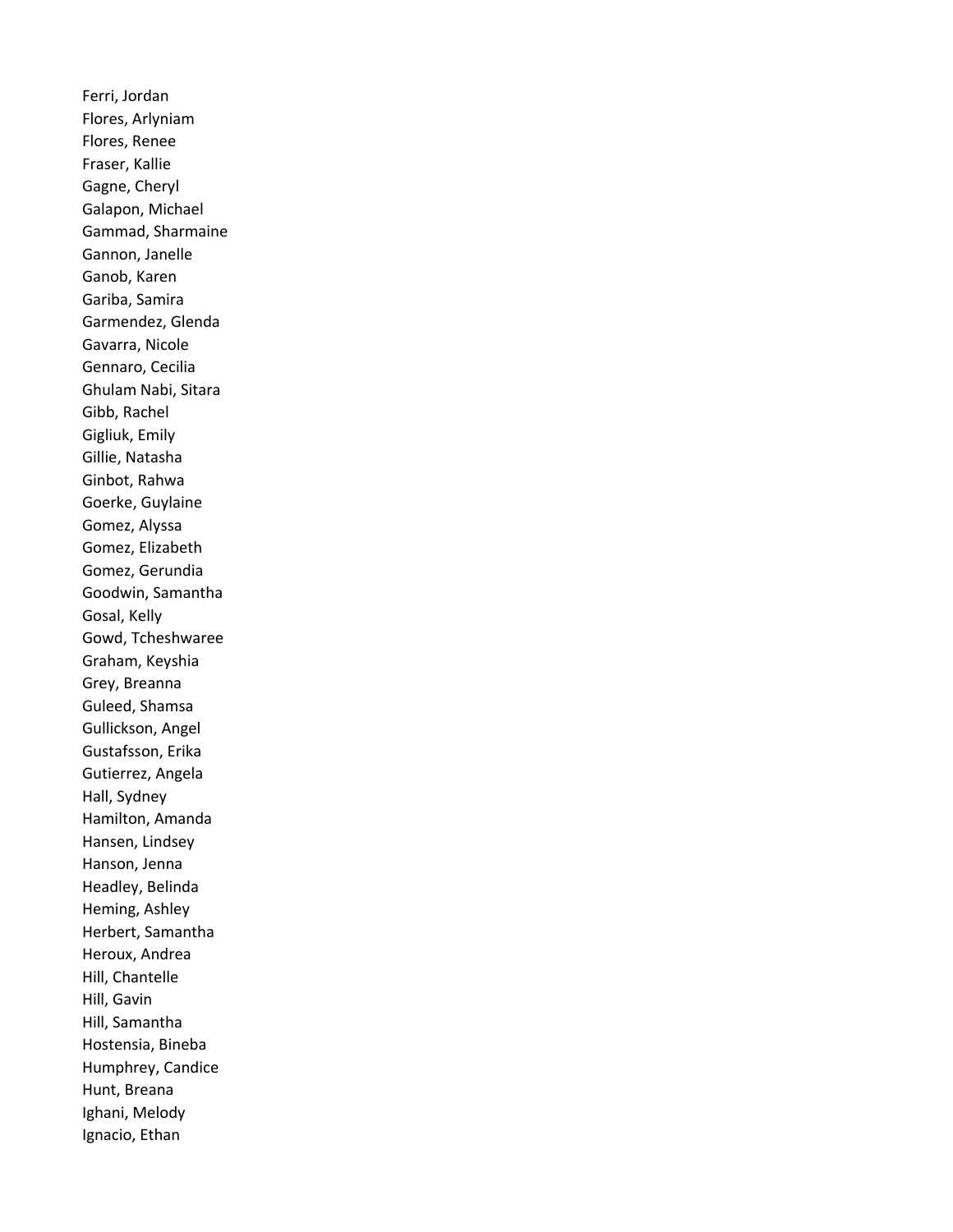Ferri, Jordan Flores, Arlyniam Flores, Renee Fraser, Kallie Gagne, Cheryl Galapon, Michael Gammad, Sharmaine Gannon, Janelle Ganob, Karen Gariba, Samira Garmendez, Glenda Gavarra, Nicole Gennaro, Cecilia Ghulam Nabi, Sitara Gibb, Rachel Gigliuk, Emily Gillie, Natasha Ginbot, Rahwa Goerke, Guylaine Gomez, Alyssa Gomez, Elizabeth Gomez, Gerundia Goodwin, Samantha Gosal, Kelly Gowd, Tcheshwaree Graham, Keyshia Grey, Breanna Guleed, Shamsa Gullickson, Angel Gustafsson, Erika Gutierrez, Angela Hall, Sydney Hamilton, Amanda Hansen, Lindsey Hanson, Jenna Headley, Belinda Heming, Ashley Herbert, Samantha Heroux, Andrea Hill, Chantelle Hill, Gavin Hill, Samantha Hostensia, Bineba Humphrey, Candice Hunt, Breana Ighani, Melody Ignacio, Ethan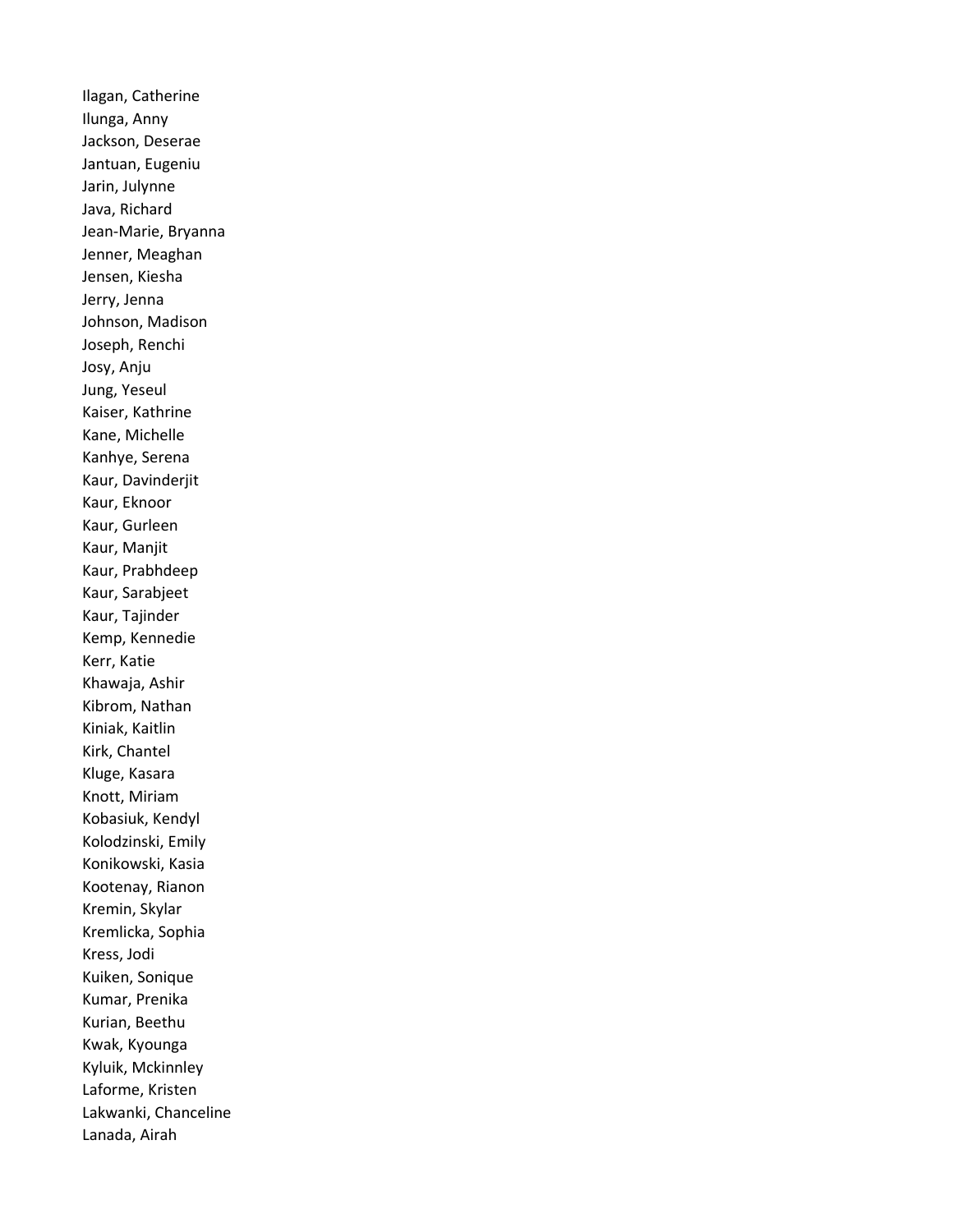Ilagan, Catherine Ilunga, Anny Jackson, Deserae Jantuan, Eugeniu Jarin, Julynne Java, Richard Jean-Marie, Bryanna Jenner, Meaghan Jensen, Kiesha Jerry, Jenna Johnson, Madison Joseph, Renchi Josy, Anju Jung, Yeseul Kaiser, Kathrine Kane, Michelle Kanhye, Serena Kaur, Davinderjit Kaur, Eknoor Kaur, Gurleen Kaur, Manjit Kaur, Prabhdeep Kaur, Sarabjeet Kaur, Tajinder Kemp, Kennedie Kerr, Katie Khawaja, Ashir Kibrom, Nathan Kiniak, Kaitlin Kirk, Chantel Kluge, Kasara Knott, Miriam Kobasiuk, Kendyl Kolodzinski, Emily Konikowski, Kasia Kootenay, Rianon Kremin, Skylar Kremlicka, Sophia Kress, Jodi Kuiken, Sonique Kumar, Prenika Kurian, Beethu Kwak, Kyounga Kyluik, Mckinnley Laforme, Kristen Lakwanki, Chanceline Lanada, Airah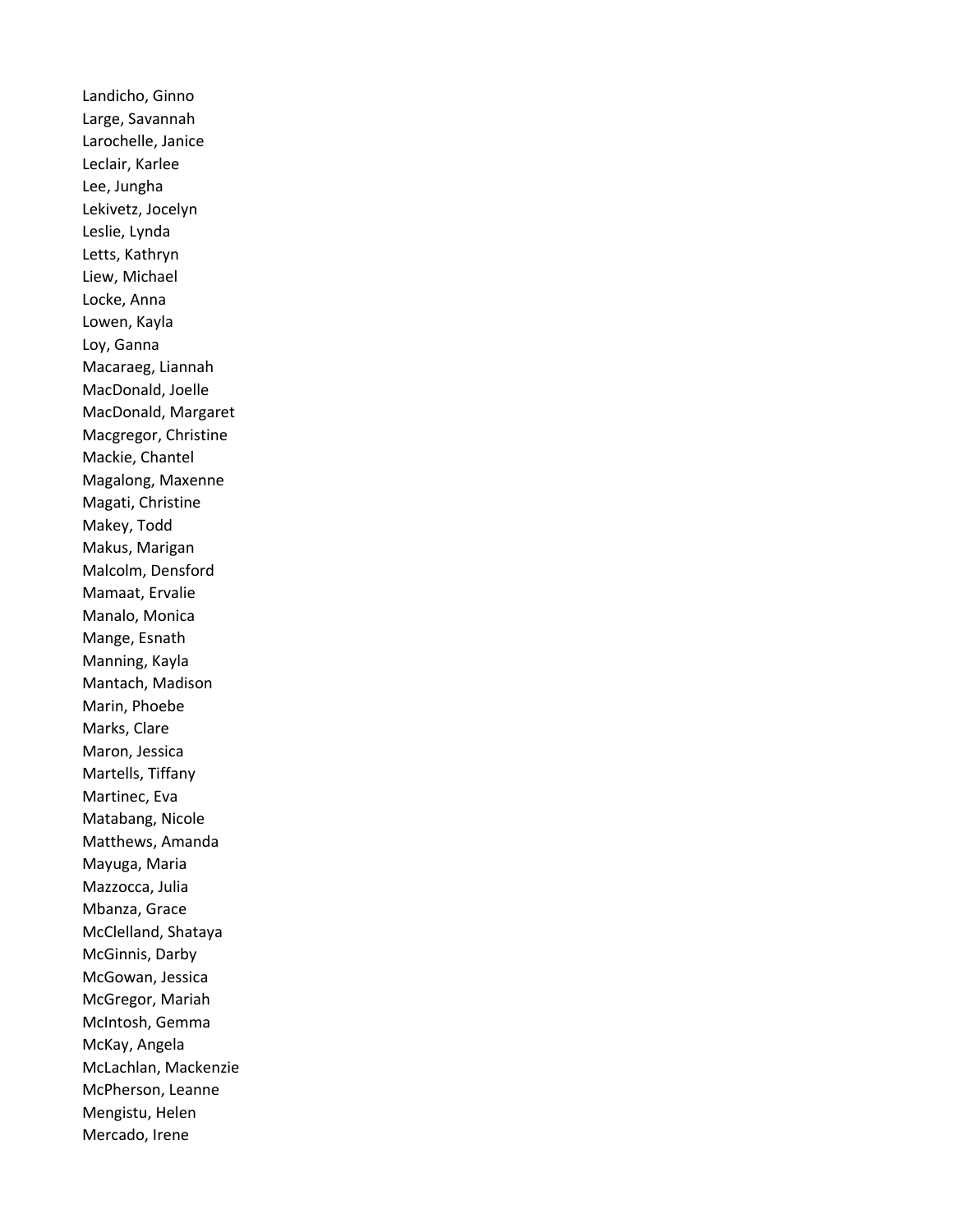Landicho, Ginno Large, Savannah Larochelle, Janice Leclair, Karlee Lee, Jungha Lekivetz, Jocelyn Leslie, Lynda Letts, Kathryn Liew, Michael Locke, Anna Lowen, Kayla Loy, Ganna Macaraeg, Liannah MacDonald, Joelle MacDonald, Margaret Macgregor, Christine Mackie, Chantel Magalong, Maxenne Magati, Christine Makey, Todd Makus, Marigan Malcolm, Densford Mamaat, Ervalie Manalo, Monica Mange, Esnath Manning, Kayla Mantach, Madison Marin, Phoebe Marks, Clare Maron, Jessica Martells, Tiffany Martinec, Eva Matabang, Nicole Matthews, Amanda Mayuga, Maria Mazzocca, Julia Mbanza, Grace McClelland, Shataya McGinnis, Darby McGowan, Jessica McGregor, Mariah McIntosh, Gemma McKay, Angela McLachlan, Mackenzie McPherson, Leanne Mengistu, Helen Mercado, Irene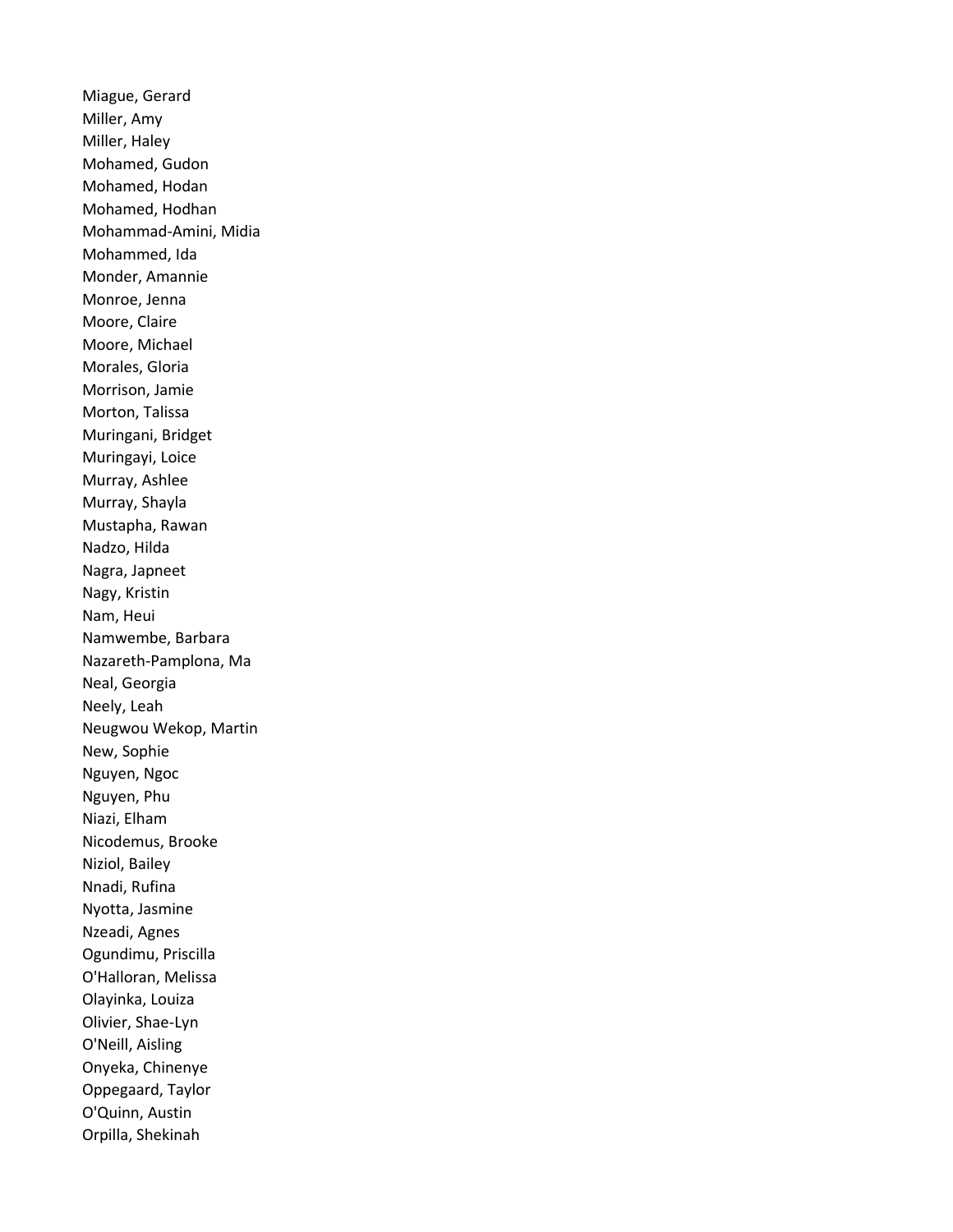Miague, Gerard Miller, Amy Miller, Haley Mohamed, Gudon Mohamed, Hodan Mohamed, Hodhan Mohammad-Amini, Midia Mohammed, Ida Monder, Amannie Monroe, Jenna Moore, Claire Moore, Michael Morales, Gloria Morrison, Jamie Morton, Talissa Muringani, Bridget Muringayi, Loice Murray, Ashlee Murray, Shayla Mustapha, Rawan Nadzo, Hilda Nagra, Japneet Nagy, Kristin Nam, Heui Namwembe, Barbara Nazareth-Pamplona, Ma Neal, Georgia Neely, Leah Neugwou Wekop, Martin New, Sophie Nguyen, Ngoc Nguyen, Phu Niazi, Elham Nicodemus, Brooke Niziol, Bailey Nnadi, Rufina Nyotta, Jasmine Nzeadi, Agnes Ogundimu, Priscilla O'Halloran, Melissa Olayinka, Louiza Olivier, Shae-Lyn O'Neill, Aisling Onyeka, Chinenye Oppegaard, Taylor O'Quinn, Austin Orpilla, Shekinah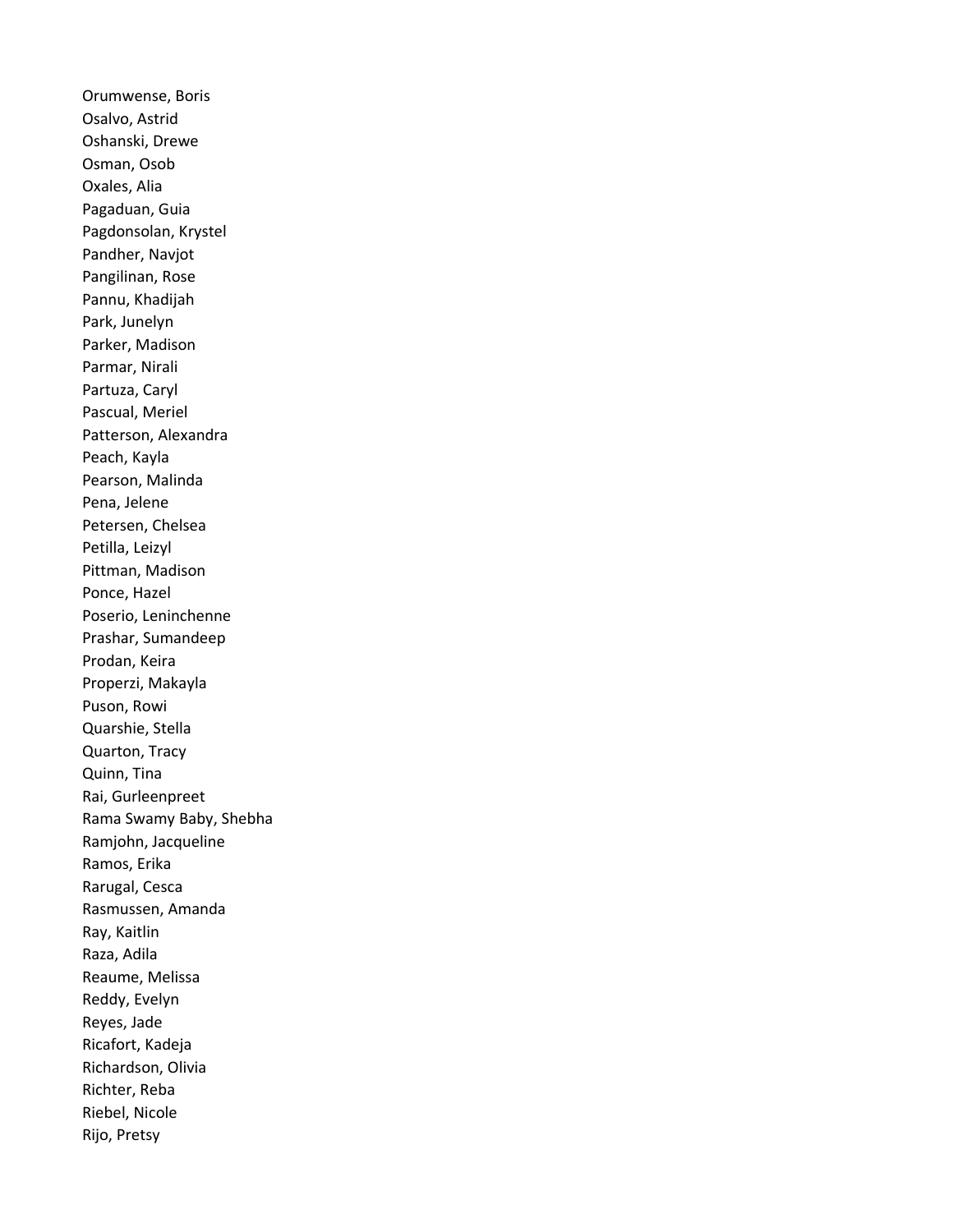Orumwense, Boris Osalvo, Astrid Oshanski, Drewe Osman, Osob Oxales, Alia Pagaduan, Guia Pagdonsolan, Krystel Pandher, Navjot Pangilinan, Rose Pannu, Khadijah Park, Junelyn Parker, Madison Parmar, Nirali Partuza, Caryl Pascual, Meriel Patterson, Alexandra Peach, Kayla Pearson, Malinda Pena, Jelene Petersen, Chelsea Petilla, Leizyl Pittman, Madison Ponce, Hazel Poserio, Leninchenne Prashar, Sumandeep Prodan, Keira Properzi, Makayla Puson, Rowi Quarshie, Stella Quarton, Tracy Quinn, Tina Rai, Gurleenpreet Rama Swamy Baby, Shebha Ramjohn, Jacqueline Ramos, Erika Rarugal, Cesca Rasmussen, Amanda Ray, Kaitlin Raza, Adila Reaume, Melissa Reddy, Evelyn Reyes, Jade Ricafort, Kadeja Richardson, Olivia Richter, Reba Riebel, Nicole Rijo, Pretsy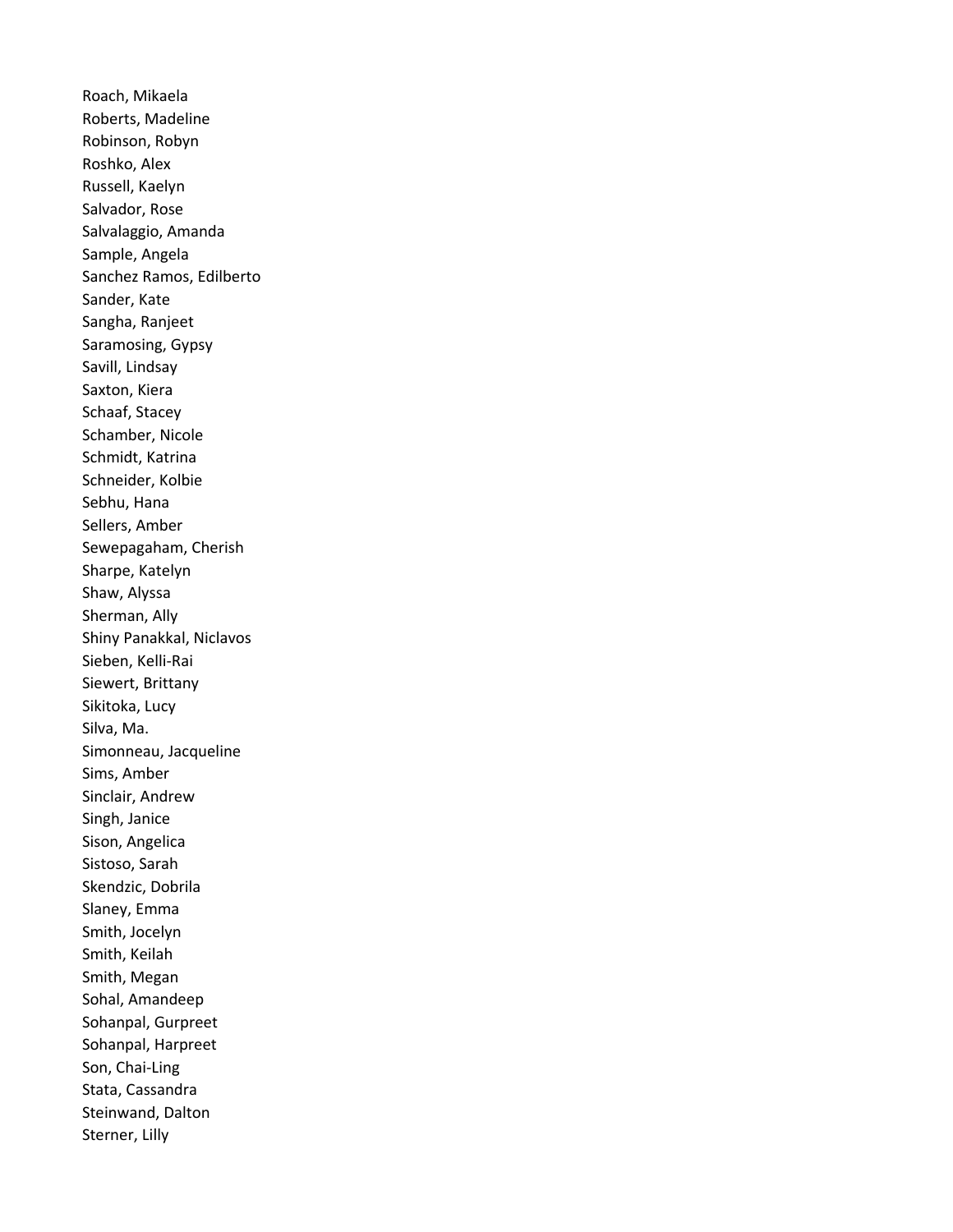Roach, Mikaela Roberts, Madeline Robinson, Robyn Roshko, Alex Russell, Kaelyn Salvador, Rose Salvalaggio, Amanda Sample, Angela Sanchez Ramos, Edilberto Sander, Kate Sangha, Ranjeet Saramosing, Gypsy Savill, Lindsay Saxton, Kiera Schaaf, Stacey Schamber, Nicole Schmidt, Katrina Schneider, Kolbie Sebhu, Hana Sellers, Amber Sewepagaham, Cherish Sharpe, Katelyn Shaw, Alyssa Sherman, Ally Shiny Panakkal, Niclavos Sieben, Kelli-Rai Siewert, Brittany Sikitoka, Lucy Silva, Ma. Simonneau, Jacqueline Sims, Amber Sinclair, Andrew Singh, Janice Sison, Angelica Sistoso, Sarah Skendzic, Dobrila Slaney, Emma Smith, Jocelyn Smith, Keilah Smith, Megan Sohal, Amandeep Sohanpal, Gurpreet Sohanpal, Harpreet Son, Chai-Ling Stata, Cassandra Steinwand, Dalton Sterner, Lilly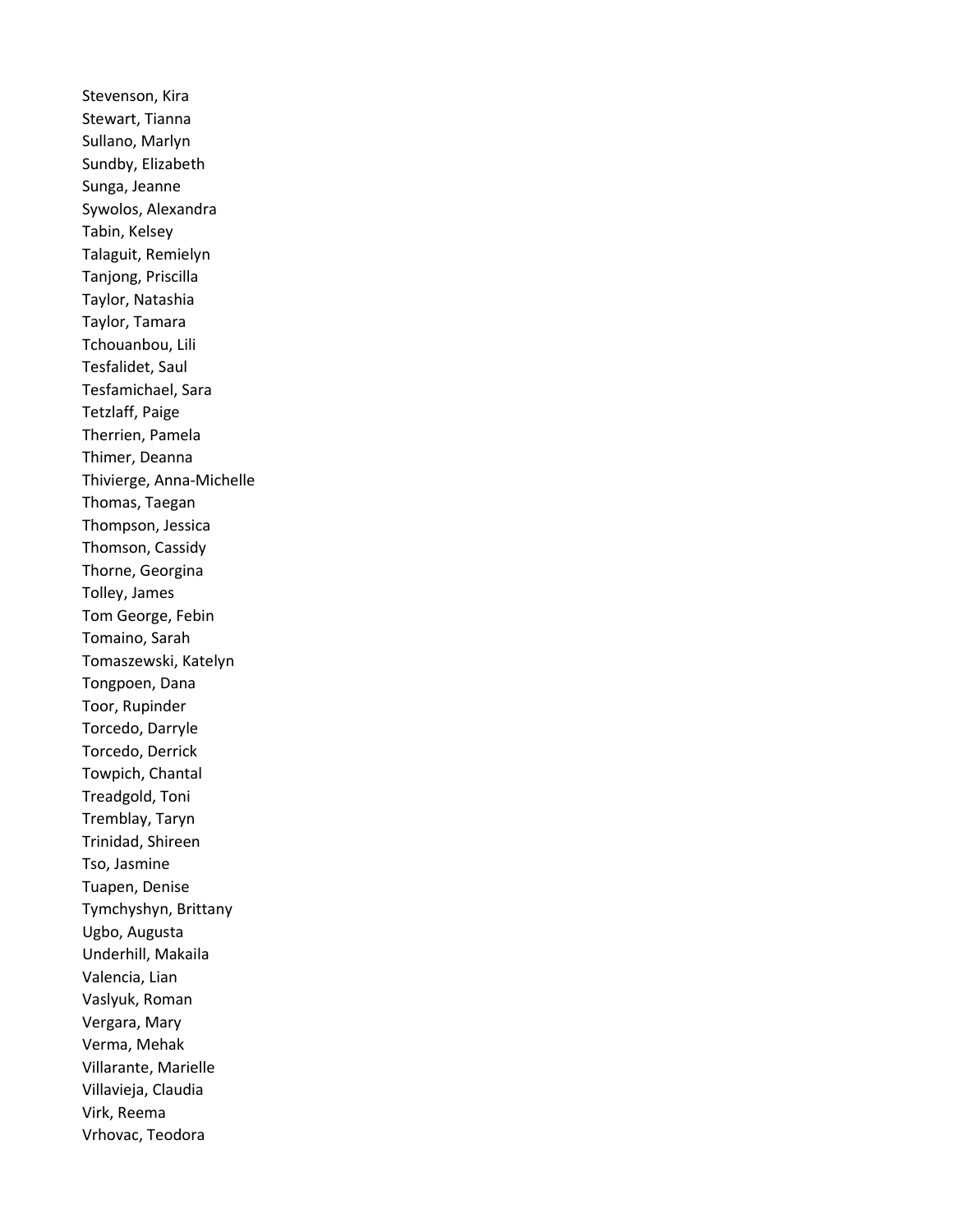Stevenson, Kira Stewart, Tianna Sullano, Marlyn Sundby, Elizabeth Sunga, Jeanne Sywolos, Alexandra Tabin, Kelsey Talaguit, Remielyn Tanjong, Priscilla Taylor, Natashia Taylor, Tamara Tchouanbou, Lili Tesfalidet, Saul Tesfamichael, Sara Tetzlaff, Paige Therrien, Pamela Thimer, Deanna Thivierge, Anna-Michelle Thomas, Taegan Thompson, Jessica Thomson, Cassidy Thorne, Georgina Tolley, James Tom George, Febin Tomaino, Sarah Tomaszewski, Katelyn Tongpoen, Dana Toor, Rupinder Torcedo, Darryle Torcedo, Derrick Towpich, Chantal Treadgold, Toni Tremblay, Taryn Trinidad, Shireen Tso, Jasmine Tuapen, Denise Tymchyshyn, Brittany Ugbo, Augusta Underhill, Makaila Valencia, Lian Vaslyuk, Roman Vergara, Mary Verma, Mehak Villarante, Marielle Villavieja, Claudia Virk, Reema Vrhovac, Teodora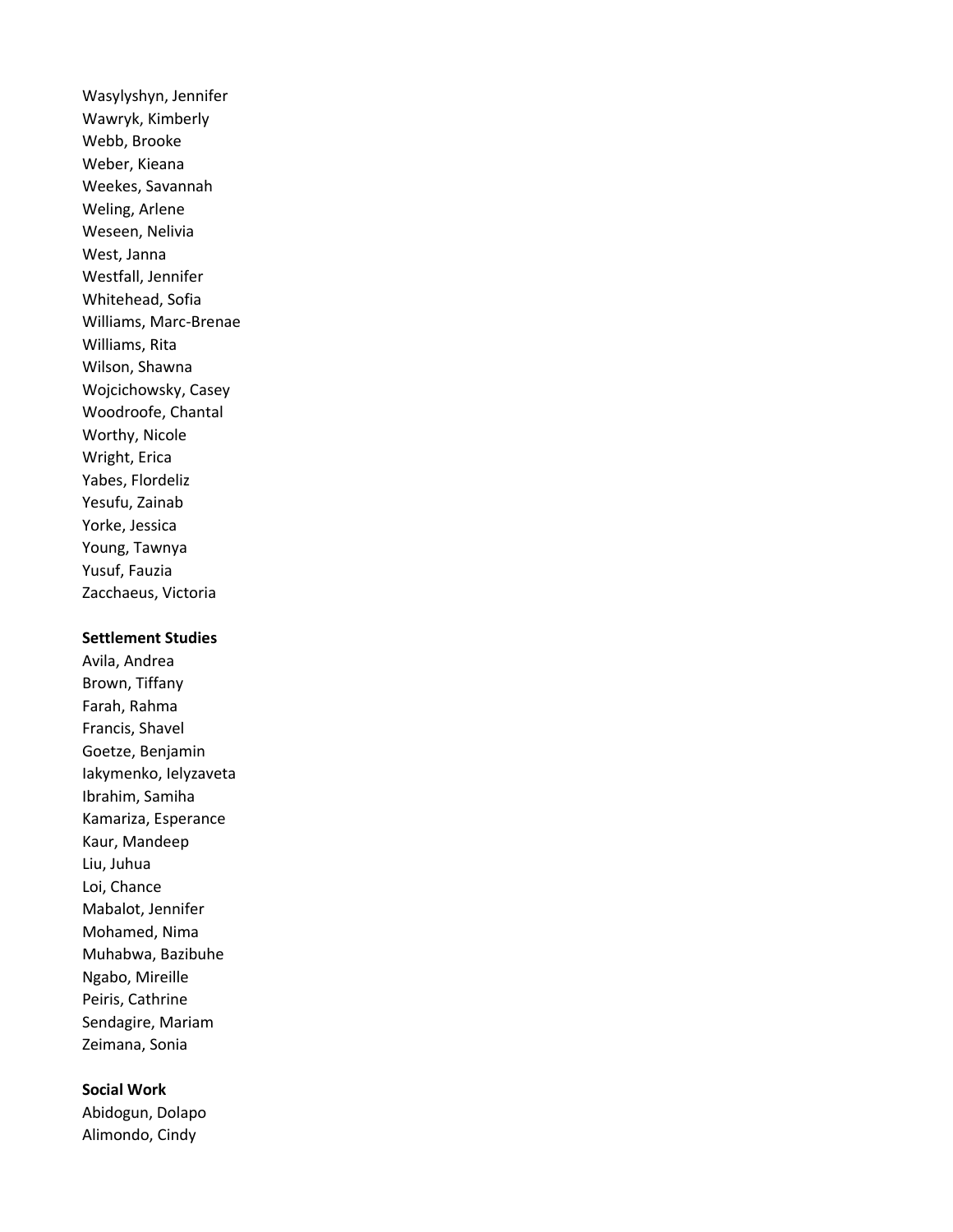Wasylyshyn, Jennifer Wawryk, Kimberly Webb, Brooke Weber, Kieana Weekes, Savannah Weling, Arlene Weseen, Nelivia West, Janna Westfall, Jennifer Whitehead, Sofia Williams, Marc-Brenae Williams, Rita Wilson, Shawna Wojcichowsky, Casey Woodroofe, Chantal Worthy, Nicole Wright, Erica Yabes, Flordeliz Yesufu, Zainab Yorke, Jessica Young, Tawnya Yusuf, Fauzia Zacchaeus, Victoria

## Settlement Studies

Avila, Andrea Brown, Tiffany Farah, Rahma Francis, Shavel Goetze, Benjamin Iakymenko, Ielyzaveta Ibrahim, Samiha Kamariza, Esperance Kaur, Mandeep Liu, Juhua Loi, Chance Mabalot, Jennifer Mohamed, Nima Muhabwa, Bazibuhe Ngabo, Mireille Peiris, Cathrine Sendagire, Mariam Zeimana, Sonia

## Social Work

Abidogun, Dolapo Alimondo, Cindy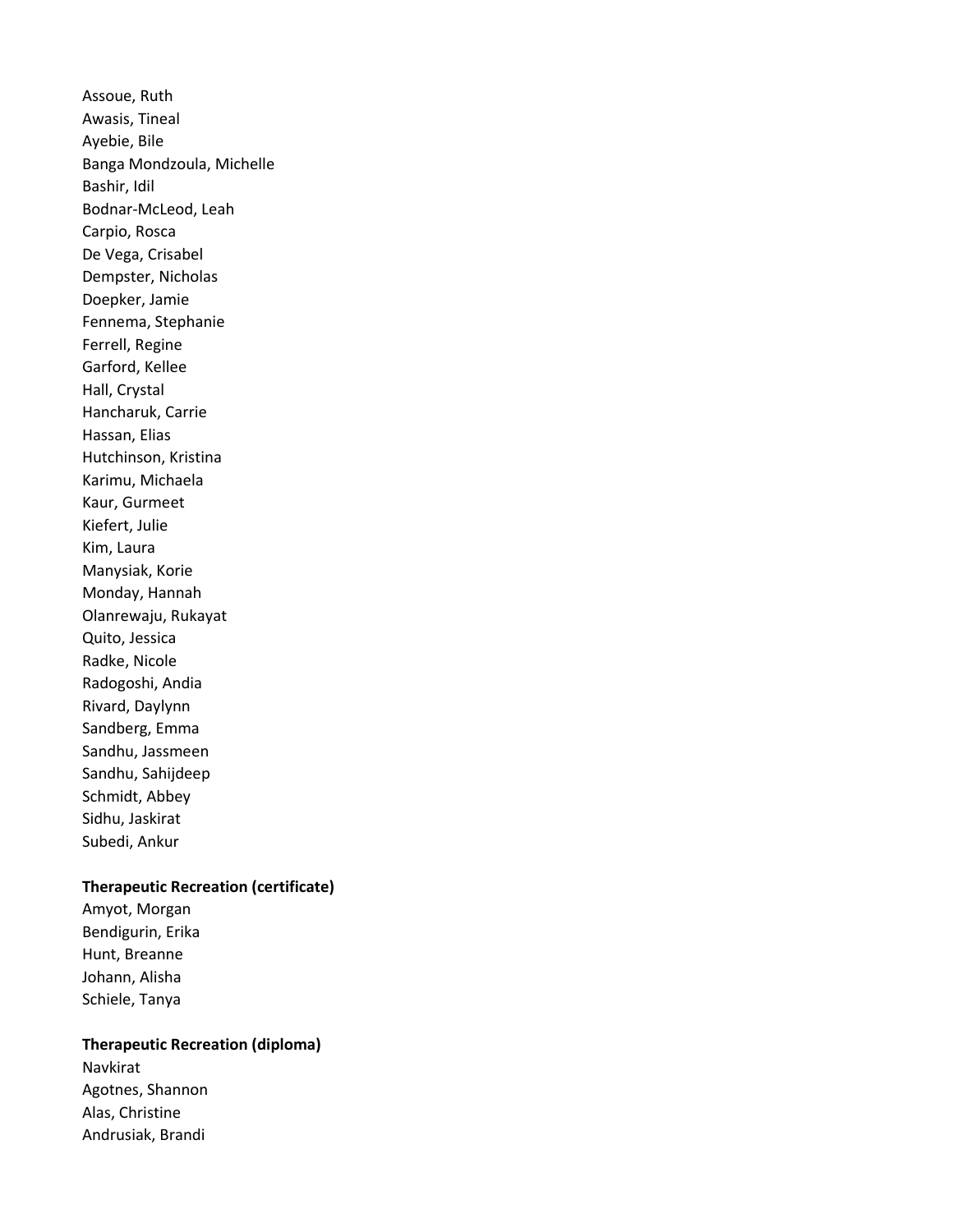Assoue, Ruth Awasis, Tineal Ayebie, Bile Banga Mondzoula, Michelle Bashir, Idil Bodnar-McLeod, Leah Carpio, Rosca De Vega, Crisabel Dempster, Nicholas Doepker, Jamie Fennema, Stephanie Ferrell, Regine Garford, Kellee Hall, Crystal Hancharuk, Carrie Hassan, Elias Hutchinson, Kristina Karimu, Michaela Kaur, Gurmeet Kiefert, Julie Kim, Laura Manysiak, Korie Monday, Hannah Olanrewaju, Rukayat Quito, Jessica Radke, Nicole Radogoshi, Andia Rivard, Daylynn Sandberg, Emma Sandhu, Jassmeen Sandhu, Sahijdeep Schmidt, Abbey Sidhu, Jaskirat Subedi, Ankur

### Therapeutic Recreation (certificate)

Amyot, Morgan Bendigurin, Erika Hunt, Breanne Johann, Alisha Schiele, Tanya

## Therapeutic Recreation (diploma)

Navkirat Agotnes, Shannon Alas, Christine Andrusiak, Brandi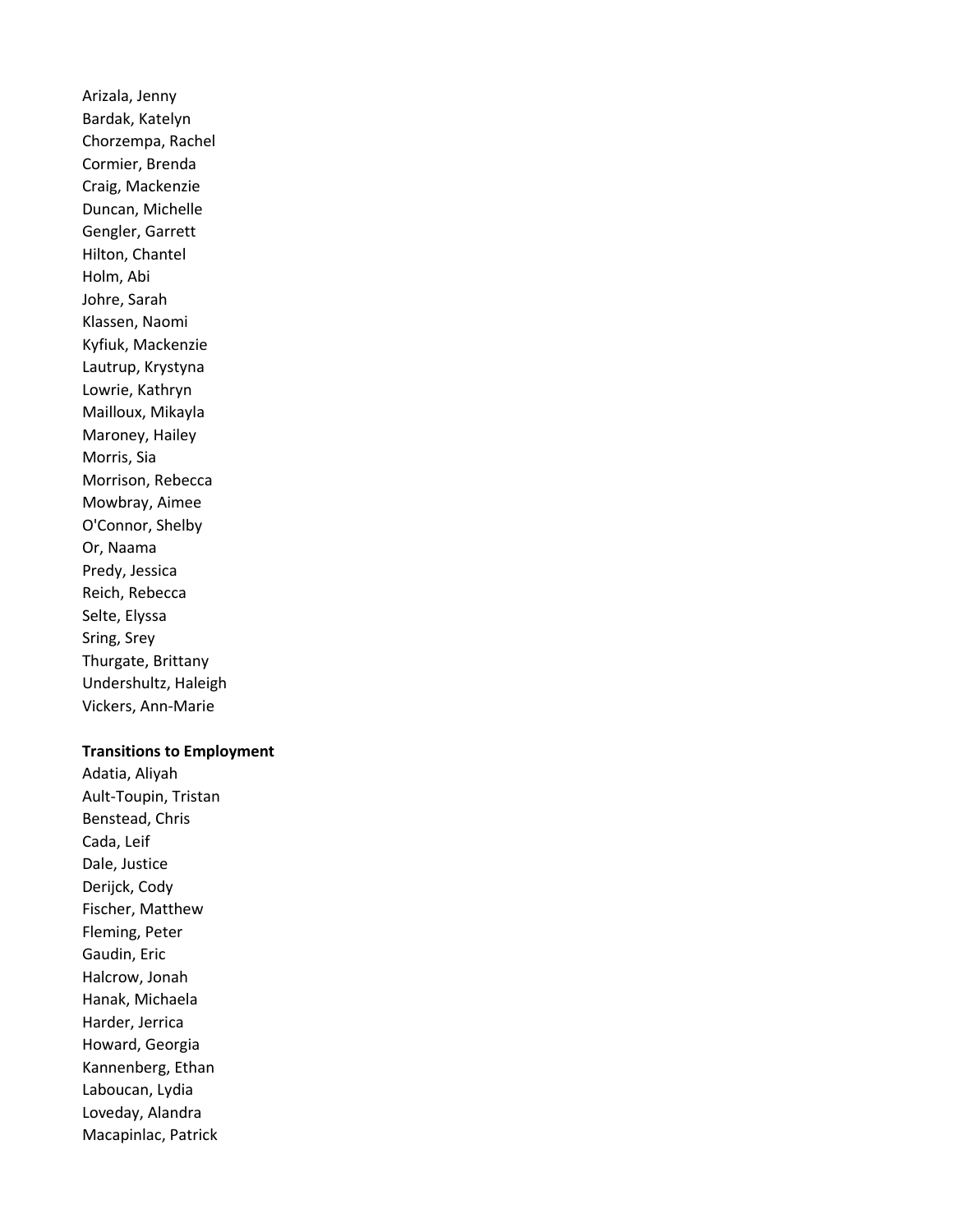Arizala, Jenny Bardak, Katelyn Chorzempa, Rachel Cormier, Brenda Craig, Mackenzie Duncan, Michelle Gengler, Garrett Hilton, Chantel Holm, Abi Johre, Sarah Klassen, Naomi Kyfiuk, Mackenzie Lautrup, Krystyna Lowrie, Kathryn Mailloux, Mikayla Maroney, Hailey Morris, Sia Morrison, Rebecca Mowbray, Aimee O'Connor, Shelby Or, Naama Predy, Jessica Reich, Rebecca Selte, Elyssa Sring, Srey Thurgate, Brittany Undershultz, Haleigh Vickers, Ann-Marie

#### Transitions to Employment

Adatia, Aliyah Ault-Toupin, Tristan Benstead, Chris Cada, Leif Dale, Justice Derijck, Cody Fischer, Matthew Fleming, Peter Gaudin, Eric Halcrow, Jonah Hanak, Michaela Harder, Jerrica Howard, Georgia Kannenberg, Ethan Laboucan, Lydia Loveday, Alandra Macapinlac, Patrick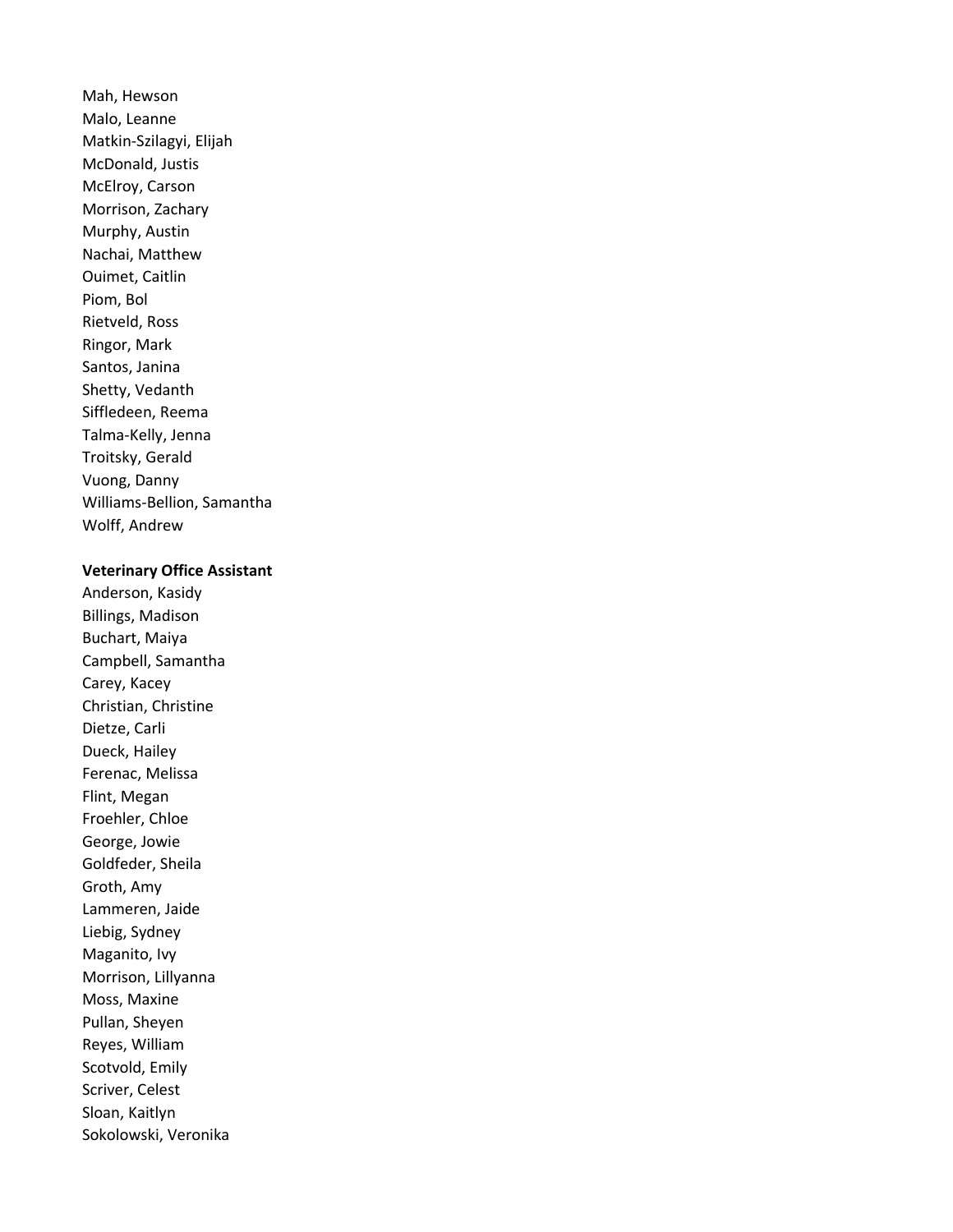Mah, Hewson Malo, Leanne Matkin-Szilagyi, Elijah McDonald, Justis McElroy, Carson Morrison, Zachary Murphy, Austin Nachai, Matthew Ouimet, Caitlin Piom, Bol Rietveld, Ross Ringor, Mark Santos, Janina Shetty, Vedanth Siffledeen, Reema Talma-Kelly, Jenna Troitsky, Gerald Vuong, Danny Williams-Bellion, Samantha Wolff, Andrew

#### Veterinary Office Assistant

Anderson, Kasidy Billings, Madison Buchart, Maiya Campbell, Samantha Carey, Kacey Christian, Christine Dietze, Carli Dueck, Hailey Ferenac, Melissa Flint, Megan Froehler, Chloe George, Jowie Goldfeder, Sheila Groth, Amy Lammeren, Jaide Liebig, Sydney Maganito, Ivy Morrison, Lillyanna Moss, Maxine Pullan, Sheyen Reyes, William Scotvold, Emily Scriver, Celest Sloan, Kaitlyn Sokolowski, Veronika